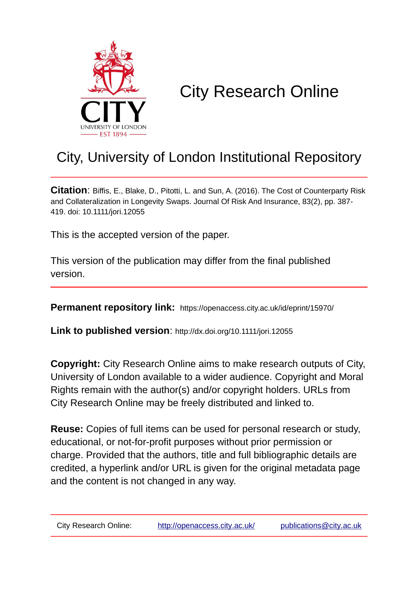

# City Research Online

## City, University of London Institutional Repository

**Citation**: Biffis, E., Blake, D., Pitotti, L. and Sun, A. (2016). The Cost of Counterparty Risk and Collateralization in Longevity Swaps. Journal Of Risk And Insurance, 83(2), pp. 387- 419. doi: 10.1111/jori.12055

This is the accepted version of the paper.

This version of the publication may differ from the final published version.

**Permanent repository link:** https://openaccess.city.ac.uk/id/eprint/15970/

**Link to published version**: http://dx.doi.org/10.1111/jori.12055

**Copyright:** City Research Online aims to make research outputs of City, University of London available to a wider audience. Copyright and Moral Rights remain with the author(s) and/or copyright holders. URLs from City Research Online may be freely distributed and linked to.

**Reuse:** Copies of full items can be used for personal research or study, educational, or not-for-profit purposes without prior permission or charge. Provided that the authors, title and full bibliographic details are credited, a hyperlink and/or URL is given for the original metadata page and the content is not changed in any way.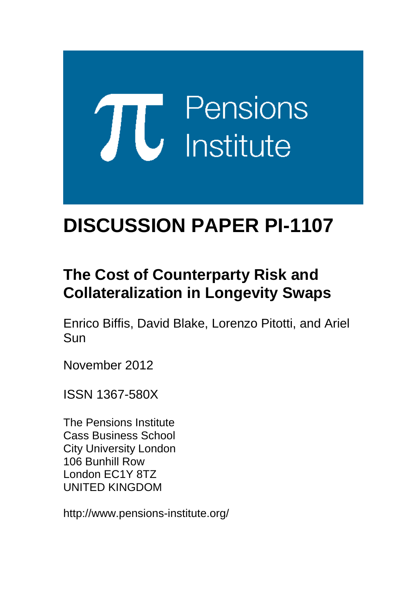# **TU** Pensions<br> **U** Institute

# **DISCUSSION PAPER PI-1107**

## **The Cost of Counterparty Risk and Collateralization in Longevity Swaps**

Enrico Biffis, David Blake, Lorenzo Pitotti, and Ariel Sun

November 2012

ISSN 1367-580X

The Pensions Institute Cass Business School City University London 106 Bunhill Row London EC1Y 8TZ UNITED KINGDOM

http://www.pensions-institute.org/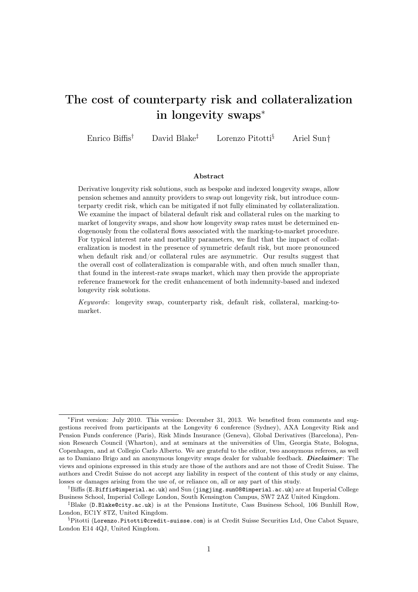### The cost of counterparty risk and collateralization in longevity swaps<sup>∗</sup>

Enrico Biffis† David Blake‡ Lorenzo Pitotti§ Ariel Sun†

#### Abstract

Derivative longevity risk solutions, such as bespoke and indexed longevity swaps, allow pension schemes and annuity providers to swap out longevity risk, but introduce counterparty credit risk, which can be mitigated if not fully eliminated by collateralization. We examine the impact of bilateral default risk and collateral rules on the marking to market of longevity swaps, and show how longevity swap rates must be determined endogenously from the collateral flows associated with the marking-to-market procedure. For typical interest rate and mortality parameters, we find that the impact of collateralization is modest in the presence of symmetric default risk, but more pronounced when default risk and/or collateral rules are asymmetric. Our results suggest that the overall cost of collateralization is comparable with, and often much smaller than, that found in the interest-rate swaps market, which may then provide the appropriate reference framework for the credit enhancement of both indemnity-based and indexed longevity risk solutions.

Keywords: longevity swap, counterparty risk, default risk, collateral, marking-tomarket.

<sup>∗</sup>First version: July 2010. This version: December 31, 2013. We benefited from comments and suggestions received from participants at the Longevity 6 conference (Sydney), AXA Longevity Risk and Pension Funds conference (Paris), Risk Minds Insurance (Geneva), Global Derivatives (Barcelona), Pension Research Council (Wharton), and at seminars at the universities of Ulm, Georgia State, Bologna, Copenhagen, and at Collegio Carlo Alberto. We are grateful to the editor, two anonymous referees, as well as to Damiano Brigo and an anonymous longevity swaps dealer for valuable feedback. Disclaimer: The views and opinions expressed in this study are those of the authors and are not those of Credit Suisse. The authors and Credit Suisse do not accept any liability in respect of the content of this study or any claims, losses or damages arising from the use of, or reliance on, all or any part of this study.

 $^\dagger$ Biffis (E.Biffis@imperial.ac.uk) and Sun (jingjing.sun08@imperial.ac.uk) are at Imperial College Business School, Imperial College London, South Kensington Campus, SW7 2AZ United Kingdom.

 $^{\ddagger}$ Blake (D.Blake@city.ac.uk) is at the Pensions Institute, Cass Business School, 106 Bunhill Row, London, EC1Y 8TZ, United Kingdom.

 $\S$ Pitotti (Lorenzo.Pitotti@credit-suisse.com) is at Credit Suisse Securities Ltd, One Cabot Square, London E14 4QJ, United Kingdom.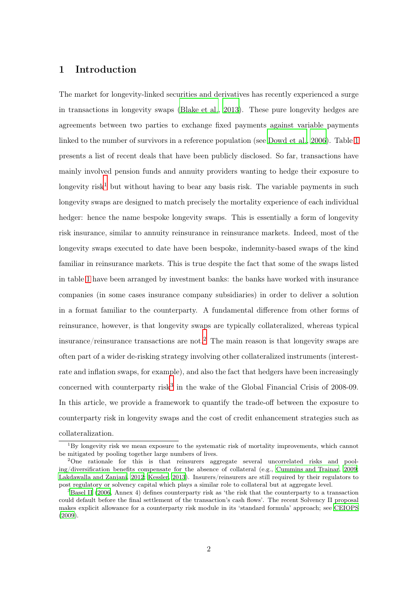#### <span id="page-3-0"></span>1 Introduction

The market for longevity-linked securities and derivatives has recently experienced a surge in transactions in longevity swaps [\(Blake et al., 2013\)](#page-29-0). These pure longevity hedges are agreements between two parties to exchange fixed payments against variable payments linked to the number of survivors in a reference population (see [Dowd et al., 2006](#page-30-0)). Table [1](#page-37-0) presents a list of recent deals that have been publicly disclosed. So far, transactions have mainly involved pension funds and annuity providers wanting to hedge their exposure to longevity risk<sup>1</sup> but without having to bear any basis risk. The variable payments in such longevity swaps are designed to match precisely the mortality experience of each individual hedger: hence the name bespoke longevity swaps. This is essentially a form of longevity risk insurance, similar to annuity reinsurance in reinsurance markets. Indeed, most of the longevity swaps executed to date have been bespoke, indemnity-based swaps of the kind familiar in reinsurance markets. This is true despite the fact that some of the swaps listed in table [1](#page-37-0) have been arranged by investment banks: the banks have worked with insurance companies (in some cases insurance company subsidiaries) in order to deliver a solution in a format familiar to the counterparty. A fundamental difference from other forms of reinsurance, however, is that longevity swaps are typically collateralized, whereas typical insurance/reinsurance transactions are not.<sup>2</sup> The main reason is that longevity swaps are often part of a wider de-risking strategy involving other collateralized instruments (interestrate and inflation swaps, for example), and also the fact that hedgers have been increasingly concerned with counterparty risk<sup>3</sup> in the wake of the Global Financial Crisis of  $2008-09$ . In this article, we provide a framework to quantify the trade-off between the exposure to counterparty risk in longevity swaps and the cost of credit enhancement strategies such as collateralization.

 ${}^{1}$ By longevity risk we mean exposure to the systematic risk of mortality improvements, which cannot be mitigated by pooling together large numbers of lives.

<sup>&</sup>lt;sup>2</sup>One rationale for this is that reinsurers aggregate several uncorrelated risks and pooling/diversification benefits compensate for the absence of collateral (e.g., [Cummins and Trainar, 2009;](#page-30-1) [Lakdawalla and Zanjani, 2012;](#page-31-0) [Kessler, 2013\)](#page-31-1). Insurers/reinsurers are still required by their regulators to post regulatory or solvency capital which plays a similar role to collateral but at aggregate level.

<sup>3</sup>[Basel II \(2006](#page-28-0), Annex 4) defines counterparty risk as 'the risk that the counterparty to a transaction could default before the final settlement of the transaction's cash flows'. The recent Solvency II proposal makes explicit allowance for a counterparty risk module in its 'standard formula' approach; see [CEIOPS](#page-30-2) [\(2009\)](#page-30-2).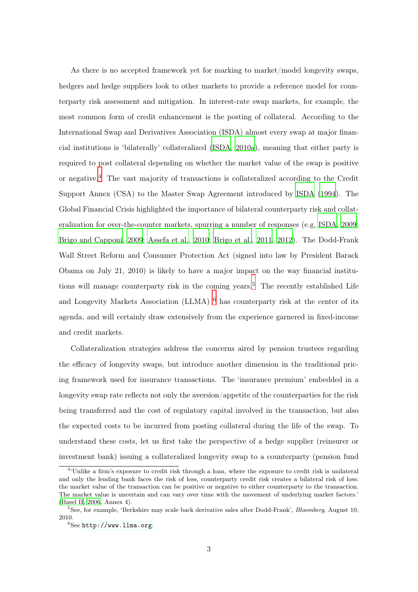As there is no accepted framework yet for marking to market/model longevity swaps, hedgers and hedge suppliers look to other markets to provide a reference model for counterparty risk assessment and mitigation. In interest-rate swap markets, for example, the most common form of credit enhancement is the posting of collateral. According to the International Swap and Derivatives Association (ISDA) almost every swap at major financial institutions is 'bilaterally' collateralized [\(ISDA](#page-31-2), [2010a\)](#page-31-2), meaning that either party is required to post collateral depending on whether the market value of the swap is positive or negative.<sup>4</sup> The vast majority of transactions is collateralized according to the Credit Support Annex (CSA) to the Master Swap Agreement introduced by [ISDA \(1994\)](#page-31-3). The Global Financial Crisis highlighted the importance of bilateral counterparty risk and collateralization for over-the-counter markets, spurring a number of responses (e.g, [ISDA](#page-31-4), [2009;](#page-31-4) [Brigo and Capponi](#page-29-1), [2009](#page-29-1); [Assefa et al., 2010;](#page-28-1) [Brigo et al.](#page-29-2), [2011](#page-29-2), [2012](#page-29-3)). The Dodd-Frank Wall Street Reform and Consumer Protection Act (signed into law by President Barack Obama on July 21, 2010) is likely to have a major impact on the way financial institutions will manage counterparty risk in the coming years.<sup>5</sup> The recently established Life and Longevity Markets Association (LLMA) <sup>6</sup> has counterparty risk at the center of its agenda, and will certainly draw extensively from the experience garnered in fixed-income and credit markets.

Collateralization strategies address the concerns aired by pension trustees regarding the efficacy of longevity swaps, but introduce another dimension in the traditional pricing framework used for insurance transactions. The 'insurance premium' embedded in a longevity swap rate reflects not only the aversion/appetite of the counterparties for the risk being transferred and the cost of regulatory capital involved in the transaction, but also the expected costs to be incurred from posting collateral during the life of the swap. To understand these costs, let us first take the perspective of a hedge supplier (reinsurer or investment bank) issuing a collateralized longevity swap to a counterparty (pension fund

<sup>4</sup> 'Unlike a firm's exposure to credit risk through a loan, where the exposure to credit risk is unilateral and only the lending bank faces the risk of loss, counterparty credit risk creates a bilateral risk of loss: the market value of the transaction can be positive or negative to either counterparty to the transaction. The market value is uncertain and can vary over time with the movement of underlying market factors.' [\(Basel II, 2006,](#page-28-0) Annex 4).

 $5$ See, for example, 'Berkshire may scale back derivative sales after Dodd-Frank', *Bloomberg*, August 10, 2010.

 $6$ See <http://www.llma.org>.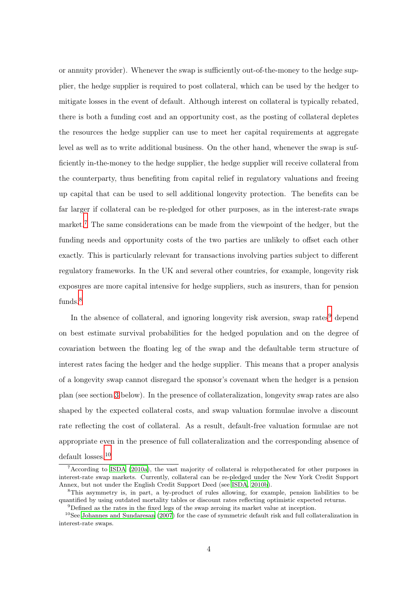or annuity provider). Whenever the swap is sufficiently out-of-the-money to the hedge supplier, the hedge supplier is required to post collateral, which can be used by the hedger to mitigate losses in the event of default. Although interest on collateral is typically rebated, there is both a funding cost and an opportunity cost, as the posting of collateral depletes the resources the hedge supplier can use to meet her capital requirements at aggregate level as well as to write additional business. On the other hand, whenever the swap is sufficiently in-the-money to the hedge supplier, the hedge supplier will receive collateral from the counterparty, thus benefiting from capital relief in regulatory valuations and freeing up capital that can be used to sell additional longevity protection. The benefits can be far larger if collateral can be re-pledged for other purposes, as in the interest-rate swaps market.<sup>7</sup> The same considerations can be made from the viewpoint of the hedger, but the funding needs and opportunity costs of the two parties are unlikely to offset each other exactly. This is particularly relevant for transactions involving parties subject to different regulatory frameworks. In the UK and several other countries, for example, longevity risk exposures are more capital intensive for hedge suppliers, such as insurers, than for pension funds.<sup>8</sup>

In the absence of collateral, and ignoring longevity risk aversion, swap rates<sup>9</sup> depend on best estimate survival probabilities for the hedged population and on the degree of covariation between the floating leg of the swap and the defaultable term structure of interest rates facing the hedger and the hedge supplier. This means that a proper analysis of a longevity swap cannot disregard the sponsor's covenant when the hedger is a pension plan (see section [3](#page-14-0) below). In the presence of collateralization, longevity swap rates are also shaped by the expected collateral costs, and swap valuation formulae involve a discount rate reflecting the cost of collateral. As a result, default-free valuation formulae are not appropriate even in the presence of full collateralization and the corresponding absence of default losses.<sup>10</sup>

<sup>&</sup>lt;sup>7</sup>According to [ISDA \(2010a\)](#page-31-2), the vast majority of collateral is rehypothecated for other purposes in interest-rate swap markets. Currently, collateral can be re-pledged under the New York Credit Support Annex, but not under the English Credit Support Deed (see [ISDA](#page-31-5), [2010b](#page-31-5)).

<sup>8</sup>This asymmetry is, in part, a by-product of rules allowing, for example, pension liabilities to be quantified by using outdated mortality tables or discount rates reflecting optimistic expected returns.

<sup>9</sup>Defined as the rates in the fixed legs of the swap zeroing its market value at inception.

 $10$ See [Johannes and Sundaresan \(2007](#page-31-6)) for the case of symmetric default risk and full collateralization in interest-rate swaps.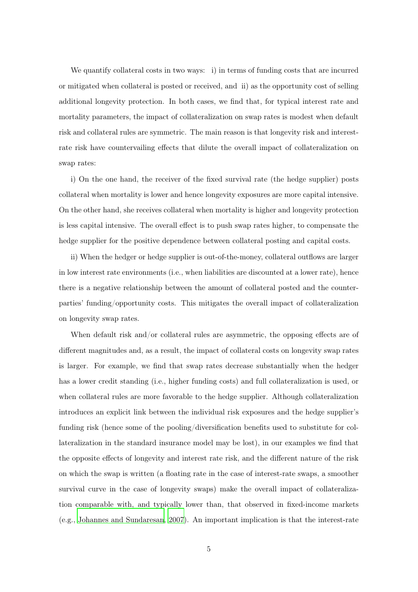We quantify collateral costs in two ways: i) in terms of funding costs that are incurred or mitigated when collateral is posted or received, and ii) as the opportunity cost of selling additional longevity protection. In both cases, we find that, for typical interest rate and mortality parameters, the impact of collateralization on swap rates is modest when default risk and collateral rules are symmetric. The main reason is that longevity risk and interestrate risk have countervailing effects that dilute the overall impact of collateralization on swap rates:

i) On the one hand, the receiver of the fixed survival rate (the hedge supplier) posts collateral when mortality is lower and hence longevity exposures are more capital intensive. On the other hand, she receives collateral when mortality is higher and longevity protection is less capital intensive. The overall effect is to push swap rates higher, to compensate the hedge supplier for the positive dependence between collateral posting and capital costs.

ii) When the hedger or hedge supplier is out-of-the-money, collateral outflows are larger in low interest rate environments (i.e., when liabilities are discounted at a lower rate), hence there is a negative relationship between the amount of collateral posted and the counterparties' funding/opportunity costs. This mitigates the overall impact of collateralization on longevity swap rates.

When default risk and/or collateral rules are asymmetric, the opposing effects are of different magnitudes and, as a result, the impact of collateral costs on longevity swap rates is larger. For example, we find that swap rates decrease substantially when the hedger has a lower credit standing (i.e., higher funding costs) and full collateralization is used, or when collateral rules are more favorable to the hedge supplier. Although collateralization introduces an explicit link between the individual risk exposures and the hedge supplier's funding risk (hence some of the pooling/diversification benefits used to substitute for collateralization in the standard insurance model may be lost), in our examples we find that the opposite effects of longevity and interest rate risk, and the different nature of the risk on which the swap is written (a floating rate in the case of interest-rate swaps, a smoother survival curve in the case of longevity swaps) make the overall impact of collateralization comparable with, and typically lower than, that observed in fixed-income markets (e.g., [Johannes and Sundaresan, 2007\)](#page-31-6). An important implication is that the interest-rate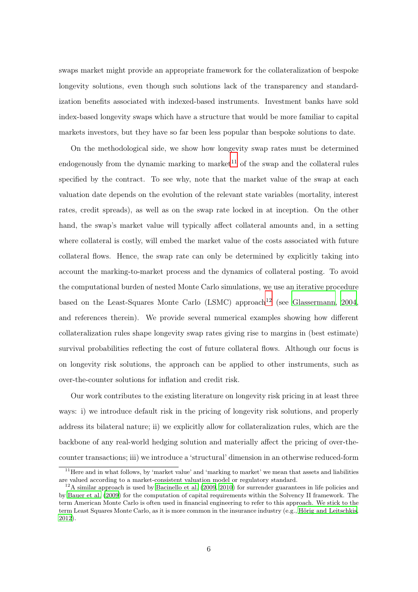swaps market might provide an appropriate framework for the collateralization of bespoke longevity solutions, even though such solutions lack of the transparency and standardization benefits associated with indexed-based instruments. Investment banks have sold index-based longevity swaps which have a structure that would be more familiar to capital markets investors, but they have so far been less popular than bespoke solutions to date.

On the methodological side, we show how longevity swap rates must be determined endogenously from the dynamic marking to market<sup>11</sup> of the swap and the collateral rules specified by the contract. To see why, note that the market value of the swap at each valuation date depends on the evolution of the relevant state variables (mortality, interest rates, credit spreads), as well as on the swap rate locked in at inception. On the other hand, the swap's market value will typically affect collateral amounts and, in a setting where collateral is costly, will embed the market value of the costs associated with future collateral flows. Hence, the swap rate can only be determined by explicitly taking into account the marking-to-market process and the dynamics of collateral posting. To avoid the computational burden of nested Monte Carlo simulations, we use an iterative procedure based on the Least-Squares Monte Carlo (LSMC) approach<sup>12</sup> (see [Glassermann](#page-31-7), [2004,](#page-31-7) and references therein). We provide several numerical examples showing how different collateralization rules shape longevity swap rates giving rise to margins in (best estimate) survival probabilities reflecting the cost of future collateral flows. Although our focus is on longevity risk solutions, the approach can be applied to other instruments, such as over-the-counter solutions for inflation and credit risk.

Our work contributes to the existing literature on longevity risk pricing in at least three ways: i) we introduce default risk in the pricing of longevity risk solutions, and properly address its bilateral nature; ii) we explicitly allow for collateralization rules, which are the backbone of any real-world hedging solution and materially affect the pricing of over-thecounter transactions; iii) we introduce a 'structural' dimension in an otherwise reduced-form

 $11$  Here and in what follows, by 'market value' and 'marking to market' we mean that assets and liabilities are valued according to a market-consistent valuation model or regulatory standard.

 $12A$  similar approach is used by [Bacinello et al. \(2009](#page-28-2), [2010](#page-28-3)) for surrender guarantees in life policies and by [Bauer et al. \(2009\)](#page-28-4) for the computation of capital requirements within the Solvency II framework. The term American Monte Carlo is often used in financial engineering to refer to this approach. We stick to the term Least Squares Monte Carlo, as it is more common in the insurance industry (e.g., [Hörig and Leitschkis,](#page-31-8) [2012](#page-31-8)).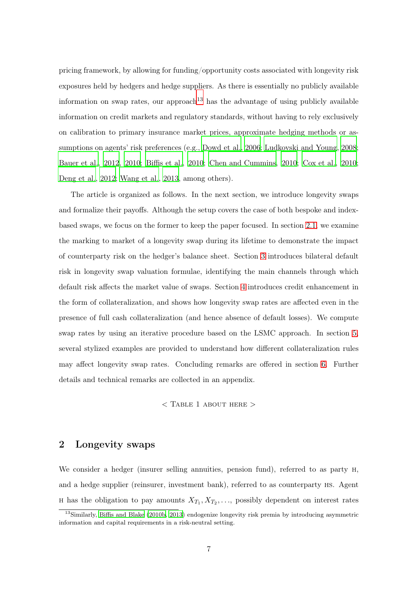pricing framework, by allowing for funding/opportunity costs associated with longevity risk exposures held by hedgers and hedge suppliers. As there is essentially no publicly available information on swap rates, our approach<sup>13</sup> has the advantage of using publicly available information on credit markets and regulatory standards, without having to rely exclusively on calibration to primary insurance market prices, approximate hedging methods or assumptions on agents' risk preferences (e.g., [Dowd et al., 2006;](#page-30-0) [Ludkovski and Young, 2008;](#page-31-9) [Bauer et al., 2012,](#page-28-5) [2010;](#page-28-6) [Biffis et al., 2010;](#page-29-4) [Chen and Cummins, 2010;](#page-30-3) [Cox et al.](#page-30-4), [2010;](#page-30-4) [Deng et al.](#page-30-5), [2012](#page-30-5); [Wang et al., 2013](#page-32-0), among others).

The article is organized as follows. In the next section, we introduce longevity swaps and formalize their payoffs. Although the setup covers the case of both bespoke and indexbased swaps, we focus on the former to keep the paper focused. In section [2.1,](#page-12-0) we examine the marking to market of a longevity swap during its lifetime to demonstrate the impact of counterparty risk on the hedger's balance sheet. Section [3](#page-14-0) introduces bilateral default risk in longevity swap valuation formulae, identifying the main channels through which default risk affects the market value of swaps. Section [4](#page-17-0) introduces credit enhancement in the form of collateralization, and shows how longevity swap rates are affected even in the presence of full cash collateralization (and hence absence of default losses). We compute swap rates by using an iterative procedure based on the LSMC approach. In section [5,](#page-22-0) several stylized examples are provided to understand how different collateralization rules may affect longevity swap rates. Concluding remarks are offered in section [6.](#page-27-0) Further details and technical remarks are collected in an appendix.

 $<$  Table 1 about here  $>$ 

#### <span id="page-8-0"></span>2 Longevity swaps

We consider a hedger (insurer selling annuities, pension fund), referred to as party h, and a hedge supplier (reinsurer, investment bank), referred to as counterparty hs. Agent H has the obligation to pay amounts  $X_{T_1}, X_{T_2}, \ldots$ , possibly dependent on interest rates

<sup>13</sup>Similarly, [Biffis and Blake \(2010b,](#page-29-5) [2013\)](#page-29-6) endogenize longevity risk premia by introducing asymmetric information and capital requirements in a risk-neutral setting.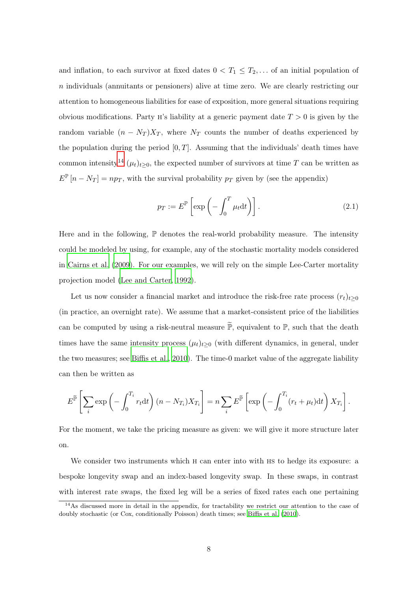and inflation, to each survivor at fixed dates  $0 < T_1 \leq T_2, \ldots$  of an initial population of n individuals (annuitants or pensioners) alive at time zero. We are clearly restricting our attention to homogeneous liabilities for ease of exposition, more general situations requiring obvious modifications. Party H's liability at a generic payment date  $T > 0$  is given by the random variable  $(n - N_T)X_T$ , where  $N_T$  counts the number of deaths experienced by the population during the period  $[0, T]$ . Assuming that the individuals' death times have common intensity<sup>14</sup> ( $\mu_t$ )<sub>t≥0</sub>, the expected number of survivors at time T can be written as  $E^{\mathbb{P}}[n - N_T] = np_T$ , with the survival probability  $p_T$  given by (see the appendix)

<span id="page-9-0"></span>
$$
p_T := E^{\mathbb{P}} \left[ \exp \left( - \int_0^T \mu_t \mathrm{d}t \right) \right]. \tag{2.1}
$$

Here and in the following,  $\mathbb P$  denotes the real-world probability measure. The intensity could be modeled by using, for example, any of the stochastic mortality models considered in [Cairns et al. \(2009\)](#page-29-7). For our examples, we will rely on the simple Lee-Carter mortality projection model [\(Lee and Carter, 1992\)](#page-31-10).

Let us now consider a financial market and introduce the risk-free rate process  $(r_t)_{t\geq 0}$ (in practice, an overnight rate). We assume that a market-consistent price of the liabilities can be computed by using a risk-neutral measure  $\widetilde{\mathbb{P}}$ , equivalent to  $\mathbb{P}$ , such that the death times have the same intensity process  $(\mu_t)_{t>0}$  (with different dynamics, in general, under the two measures; see [Biffis et al.](#page-29-4), [2010\)](#page-29-4). The time-0 market value of the aggregate liability can then be written as

$$
E^{\widetilde{\mathbb{P}}}\left[\sum_{i} \exp\left(-\int_{0}^{T_i} r_t \mathrm{d}t\right)(n - N_{T_i}) X_{T_i}\right] = n \sum_{i} E^{\widetilde{\mathbb{P}}}\left[\exp\left(-\int_{0}^{T_i} (r_t + \mu_t) \mathrm{d}t\right) X_{T_i}\right].
$$

For the moment, we take the pricing measure as given: we will give it more structure later on.

We consider two instruments which  $H$  can enter into with HS to hedge its exposure: a bespoke longevity swap and an index-based longevity swap. In these swaps, in contrast with interest rate swaps, the fixed leg will be a series of fixed rates each one pertaining

<sup>14</sup>As discussed more in detail in the appendix, for tractability we restrict our attention to the case of doubly stochastic (or Cox, conditionally Poisson) death times; see [Biffis et al. \(2010\)](#page-29-4).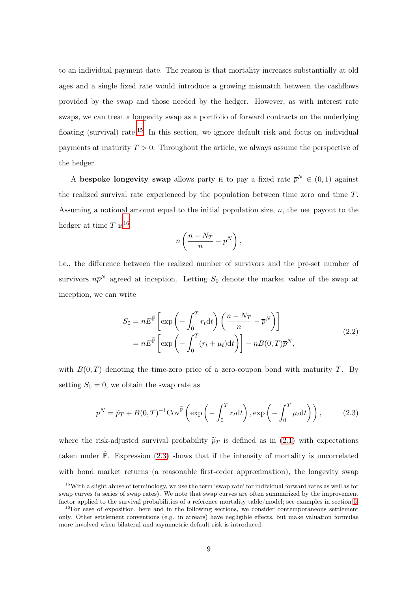to an individual payment date. The reason is that mortality increases substantially at old ages and a single fixed rate would introduce a growing mismatch between the cashflows provided by the swap and those needed by the hedger. However, as with interest rate swaps, we can treat a longevity swap as a portfolio of forward contracts on the underlying floating (survival) rate.<sup>15</sup> In this section, we ignore default risk and focus on individual payments at maturity  $T > 0$ . Throughout the article, we always assume the perspective of the hedger.

A bespoke longevity swap allows party H to pay a fixed rate  $\bar{p}^N \in (0,1)$  against the realized survival rate experienced by the population between time zero and time T. Assuming a notional amount equal to the initial population size,  $n$ , the net payout to the hedger at time  $T$  is  $16$ 

$$
n\left(\frac{n-N_T}{n}-\overline{p}^N\right),\,
$$

i.e., the difference between the realized number of survivors and the pre-set number of survivors  $n\bar{p}^N$  agreed at inception. Letting  $S_0$  denote the market value of the swap at inception, we can write

$$
S_0 = nE^{\widetilde{\mathbb{P}}}\left[\exp\left(-\int_0^T r_t dt\right)\left(\frac{n - N_T}{n} - \overline{p}^N\right)\right]
$$
  
=  $nE^{\widetilde{\mathbb{P}}}\left[\exp\left(-\int_0^T (r_t + \mu_t) dt\right)\right] - nB(0, T)\overline{p}^N,$  (2.2)

<span id="page-10-1"></span>with  $B(0,T)$  denoting the time-zero price of a zero-coupon bond with maturity T. By setting  $S_0 = 0$ , we obtain the swap rate as

<span id="page-10-0"></span>
$$
\overline{p}^N = \widetilde{p}_T + B(0,T)^{-1} \text{Cov}^{\widetilde{\mathbb{P}}}\left(\exp\left(-\int_0^T r_t dt\right), \exp\left(-\int_0^T \mu_t dt\right)\right),\tag{2.3}
$$

where the risk-adjusted survival probability  $\tilde{p}_T$  is defined as in [\(2.1\)](#page-9-0) with expectations taken under  $\widetilde{\mathbb{P}}$ . Expression [\(2.3\)](#page-10-0) shows that if the intensity of mortality is uncorrelated with bond market returns (a reasonable first-order approximation), the longevity swap

<sup>15</sup>With a slight abuse of terminology, we use the term 'swap rate' for individual forward rates as well as for swap curves (a series of swap rates). We note that swap curves are often summarized by the improvement factor applied to the survival probabilities of a reference mortality table/model; see examples in section [5.](#page-22-0)

 $16$ For ease of exposition, here and in the following sections, we consider contemporaneous settlement only. Other settlement conventions (e.g. in arrears) have negligible effects, but make valuation formulae more involved when bilateral and asymmetric default risk is introduced.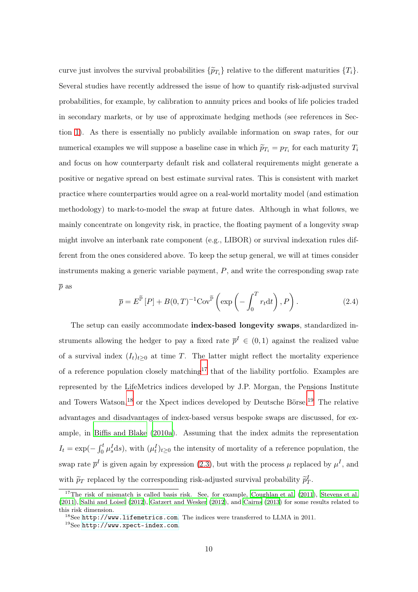curve just involves the survival probabilities  $\{\widetilde{p}_{T_i}\}\$  relative to the different maturities  $\{T_i\}$ . Several studies have recently addressed the issue of how to quantify risk-adjusted survival probabilities, for example, by calibration to annuity prices and books of life policies traded in secondary markets, or by use of approximate hedging methods (see references in Section [1\)](#page-3-0). As there is essentially no publicly available information on swap rates, for our numerical examples we will suppose a baseline case in which  $\tilde{p}_{T_i} = p_{T_i}$  for each maturity  $T_i$ and focus on how counterparty default risk and collateral requirements might generate a positive or negative spread on best estimate survival rates. This is consistent with market practice where counterparties would agree on a real-world mortality model (and estimation methodology) to mark-to-model the swap at future dates. Although in what follows, we mainly concentrate on longevity risk, in practice, the floating payment of a longevity swap might involve an interbank rate component (e.g., LIBOR) or survival indexation rules different from the ones considered above. To keep the setup general, we will at times consider instruments making a generic variable payment,  $P$ , and write the corresponding swap rate  $\bar{p}$  as

$$
\overline{p} = E^{\widetilde{\mathbb{P}}}[P] + B(0,T)^{-1} \text{Cov}^{\widetilde{\mathbb{P}}}\left(\exp\left(-\int_0^T r_t \, \mathrm{d}t\right), P\right). \tag{2.4}
$$

The setup can easily accommodate index-based longevity swaps, standardized instruments allowing the hedger to pay a fixed rate  $\bar{p}^I \in (0,1)$  against the realized value of a survival index  $(I_t)_{t>0}$  at time T. The latter might reflect the mortality experience of a reference population closely matching<sup>17</sup> that of the liability portfolio. Examples are represented by the LifeMetrics indices developed by J.P. Morgan, the Pensions Institute and Towers Watson,<sup>18</sup> or the Xpect indices developed by Deutsche Börse.<sup>19</sup> The relative advantages and disadvantages of index-based versus bespoke swaps are discussed, for example, in [Biffis and Blake \(2010a](#page-29-8)). Assuming that the index admits the representation  $I_t = \exp(-\int_0^t \mu_s^I ds)$ , with  $(\mu_t^I)_{t \geq 0}$  the intensity of mortality of a reference population, the swap rate  $\bar{p}^I$  is given again by expression [\(2.3\)](#page-10-0), but with the process  $\mu$  replaced by  $\mu^I$ , and with  $\widetilde{p}_T$  replaced by the corresponding risk-adjusted survival probability  $\widetilde{p}_T^I$ .

<sup>&</sup>lt;sup>17</sup>The risk of mismatch is called basis risk. See, for example, [Coughlan et al. \(2011\)](#page-30-6), [Stevens et al.](#page-32-1) [\(2011\)](#page-32-1), [Salhi and Loisel \(2012](#page-32-2)), [Gatzert and Wesker \(2012](#page-30-7)), and [Cairns \(2013](#page-30-8)) for some results related to this risk dimension.

<sup>&</sup>lt;sup>18</sup>See <http://www.lifemetrics.com>. The indices were transferred to LLMA in 2011.

<sup>19</sup>See <http://www.xpect-index.com>.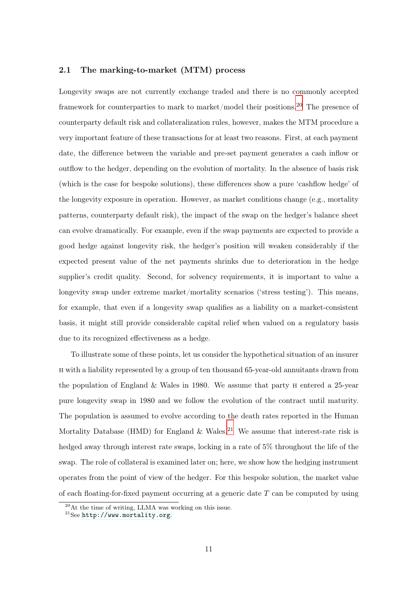#### <span id="page-12-0"></span>2.1 The marking-to-market (MTM) process

Longevity swaps are not currently exchange traded and there is no commonly accepted framework for counterparties to mark to market/model their positions.<sup>20</sup> The presence of counterparty default risk and collateralization rules, however, makes the MTM procedure a very important feature of these transactions for at least two reasons. First, at each payment date, the difference between the variable and pre-set payment generates a cash inflow or outflow to the hedger, depending on the evolution of mortality. In the absence of basis risk (which is the case for bespoke solutions), these differences show a pure 'cashflow hedge' of the longevity exposure in operation. However, as market conditions change (e.g., mortality patterns, counterparty default risk), the impact of the swap on the hedger's balance sheet can evolve dramatically. For example, even if the swap payments are expected to provide a good hedge against longevity risk, the hedger's position will weaken considerably if the expected present value of the net payments shrinks due to deterioration in the hedge supplier's credit quality. Second, for solvency requirements, it is important to value a longevity swap under extreme market/mortality scenarios ('stress testing'). This means, for example, that even if a longevity swap qualifies as a liability on a market-consistent basis, it might still provide considerable capital relief when valued on a regulatory basis due to its recognized effectiveness as a hedge.

To illustrate some of these points, let us consider the hypothetical situation of an insurer h with a liability represented by a group of ten thousand 65-year-old annuitants drawn from the population of England & Wales in 1980. We assume that party h entered a 25-year pure longevity swap in 1980 and we follow the evolution of the contract until maturity. The population is assumed to evolve according to the death rates reported in the Human Mortality Database (HMD) for England  $\&$  Wales.<sup>21</sup> We assume that interest-rate risk is hedged away through interest rate swaps, locking in a rate of 5% throughout the life of the swap. The role of collateral is examined later on; here, we show how the hedging instrument operates from the point of view of the hedger. For this bespoke solution, the market value of each floating-for-fixed payment occurring at a generic date  $T$  can be computed by using

<sup>20</sup>At the time of writing, LLMA was working on this issue.

 $^{21}$ See <http://www.mortality.org>.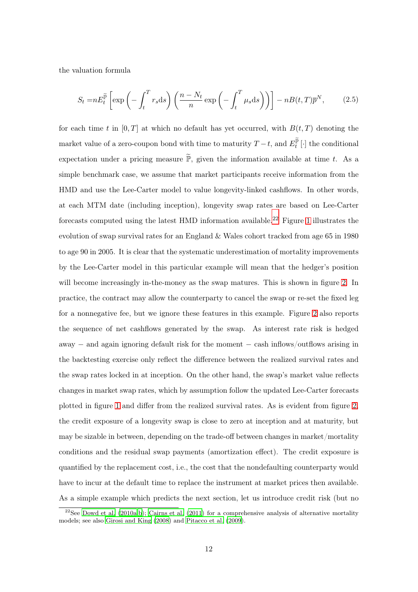the valuation formula

$$
S_t = nE_t^{\widetilde{\mathbb{P}}}\left[\exp\left(-\int_t^T r_s \mathrm{d}s\right) \left(\frac{n - N_t}{n} \exp\left(-\int_t^T \mu_s \mathrm{d}s\right)\right)\right] - n(t,T)\overline{p}^N,\tag{2.5}
$$

for each time t in  $[0, T]$  at which no default has yet occurred, with  $B(t, T)$  denoting the market value of a zero-coupon bond with time to maturity  $T-t$ , and  $E_t^{\tilde{\mathbb{P}}}\left[\cdot\right]$  the conditional expectation under a pricing measure  $\widetilde{\mathbb{P}}$ , given the information available at time t. As a simple benchmark case, we assume that market participants receive information from the HMD and use the Lee-Carter model to value longevity-linked cashflows. In other words, at each MTM date (including inception), longevity swap rates are based on Lee-Carter forecasts computed using the latest HMD information available.<sup>22</sup> Figure [1](#page-39-0) illustrates the evolution of swap survival rates for an England & Wales cohort tracked from age 65 in 1980 to age 90 in 2005. It is clear that the systematic underestimation of mortality improvements by the Lee-Carter model in this particular example will mean that the hedger's position will become increasingly in-the-money as the swap matures. This is shown in figure [2.](#page-40-0) In practice, the contract may allow the counterparty to cancel the swap or re-set the fixed leg for a nonnegative fee, but we ignore these features in this example. Figure [2](#page-40-0) also reports the sequence of net cashflows generated by the swap. As interest rate risk is hedged away − and again ignoring default risk for the moment − cash inflows/outflows arising in the backtesting exercise only reflect the difference between the realized survival rates and the swap rates locked in at inception. On the other hand, the swap's market value reflects changes in market swap rates, which by assumption follow the updated Lee-Carter forecasts plotted in figure [1](#page-39-0) and differ from the realized survival rates. As is evident from figure [2,](#page-40-0) the credit exposure of a longevity swap is close to zero at inception and at maturity, but may be sizable in between, depending on the trade-off between changes in market/mortality conditions and the residual swap payments (amortization effect). The credit exposure is quantified by the replacement cost, i.e., the cost that the nondefaulting counterparty would have to incur at the default time to replace the instrument at market prices then available. As a simple example which predicts the next section, let us introduce credit risk (but no

<sup>&</sup>lt;sup>22</sup>See [Dowd et al. \(2010a](#page-30-9)[,b](#page-30-10)); [Cairns et al. \(2011](#page-29-9)) for a comprehensive analysis of alternative mortality models; see also [Girosi and King \(2008](#page-31-11)) and [Pitacco et al. \(2009](#page-31-12)).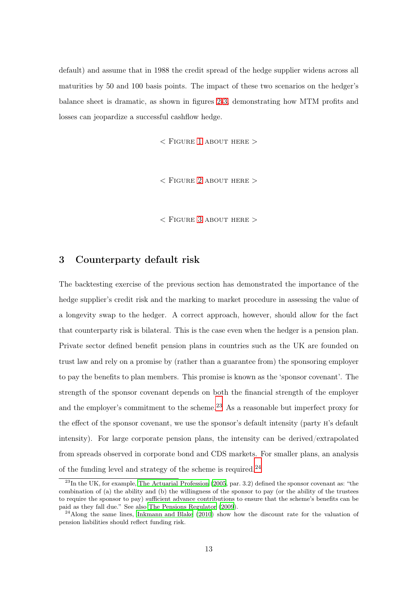default) and assume that in 1988 the credit spread of the hedge supplier widens across all maturities by 50 and 100 basis points. The impact of these two scenarios on the hedger's balance sheet is dramatic, as shown in figures [2](#page-40-0)[-3,](#page-41-0) demonstrating how MTM profits and losses can jeopardize a successful cashflow hedge.

 $<$  FIGURE [1](#page-39-0) ABOUT HERE  $>$ 

 $<$  FIGURE [2](#page-40-0) ABOUT HERE  $>$ 

 $<$  FIGURE [3](#page-41-0) ABOUT HERE  $>$ 

#### <span id="page-14-0"></span>3 Counterparty default risk

The backtesting exercise of the previous section has demonstrated the importance of the hedge supplier's credit risk and the marking to market procedure in assessing the value of a longevity swap to the hedger. A correct approach, however, should allow for the fact that counterparty risk is bilateral. This is the case even when the hedger is a pension plan. Private sector defined benefit pension plans in countries such as the UK are founded on trust law and rely on a promise by (rather than a guarantee from) the sponsoring employer to pay the benefits to plan members. This promise is known as the 'sponsor covenant'. The strength of the sponsor covenant depends on both the financial strength of the employer and the employer's commitment to the scheme.<sup>23</sup> As a reasonable but imperfect proxy for the effect of the sponsor covenant, we use the sponsor's default intensity (party h's default intensity). For large corporate pension plans, the intensity can be derived/extrapolated from spreads observed in corporate bond and CDS markets. For smaller plans, an analysis of the funding level and strategy of the scheme is required.<sup>24</sup>

 $^{23}$ In the UK, for example, [The Actuarial Profession \(2005,](#page-32-3) par. 3.2) defined the sponsor covenant as: "the combination of (a) the ability and (b) the willingness of the sponsor to pay (or the ability of the trustees to require the sponsor to pay) sufficient advance contributions to ensure that the scheme's benefits can be paid as they fall due." See also [The Pensions Regulator \(2009](#page-32-4)).

<sup>&</sup>lt;sup>24</sup>Along the same lines, Inkmann and Blake  $(2010)$  show how the discount rate for the valuation of pension liabilities should reflect funding risk.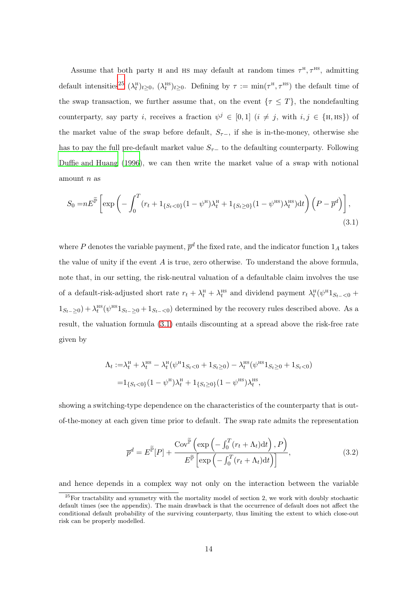Assume that both party H and HS may default at random times  $\tau^{\text{H}}, \tau^{\text{HS}}$ , admitting default intensities<sup>25</sup> ( $\lambda_t^{\text{H}}$  $(t_t^H)_{t\geq 0}, \; (\lambda_t^{\text{HS}})$ <sup>HS</sup> $(t<sup>H</sup>)$ <sub>t</sub> $\geq$ <sub>0</sub>. Defining by  $\tau := \min(\tau<sup>H</sup>, \tau<sup>H</sup>)$  the default time of the swap transaction, we further assume that, on the event  $\{\tau \leq T\}$ , the nondefaulting counterparty, say party *i*, receives a fraction  $\psi^j \in [0,1]$   $(i \neq j$ , with  $i, j \in \{H, H\}$ ) of the market value of the swap before default,  $S_{\tau-}$ , if she is in-the-money, otherwise she has to pay the full pre-default market value  $S_{\tau-}$  to the defaulting counterparty. Following [Duffie and Huang \(1996\)](#page-30-11), we can then write the market value of a swap with notional amount  $n$  as

<span id="page-15-0"></span>
$$
S_0 = nE^{\tilde{\mathbb{P}}}\left[\exp\left(-\int_0^T (r_t + 1_{\{S_t < 0\}}(1 - \psi^{\text{H}})\lambda_t^{\text{H}} + 1_{\{S_t \ge 0\}}(1 - \psi^{\text{HS}})\lambda_t^{\text{HS}})\mathrm{d}t\right)\left(P - \overline{p}^d\right)\right],\tag{3.1}
$$

where  $P$  denotes the variable payment,  $\overline{p}^d$  the fixed rate, and the indicator function  $1_A$  takes the value of unity if the event  $A$  is true, zero otherwise. To understand the above formula, note that, in our setting, the risk-neutral valuation of a defaultable claim involves the use of a default-risk-adjusted short rate  $r_t + \lambda_t^{\text{H}} + \lambda_t^{\text{HS}}$  and dividend payment  $\lambda_t^{\text{H}}$  $t^{\text{H}}(\psi^{\text{H}}1_{S_{t}-<0} +$  $1_{S_{t-}\geq 0}$  +  $\lambda_t^{\text{HS}}$ <sup>HS</sup> $(t^{\text{HS}}1_{S_{t-} \geq 0} + 1_{S_{t-} < 0})$  determined by the recovery rules described above. As a result, the valuation formula [\(3.1\)](#page-15-0) entails discounting at a spread above the risk-free rate given by

$$
\Lambda_t := \lambda_t^{\text{H}} + \lambda_t^{\text{HS}} - \lambda_t^{\text{H}} (\psi^{\text{H}} 1_{S_t < 0} + 1_{S_t \ge 0}) - \lambda_t^{\text{HS}} (\psi^{\text{HS}} 1_{S_t \ge 0} + 1_{S_t < 0})
$$
  
=  $1_{\{S_t < 0\}} (1 - \psi^{\text{H}}) \lambda_t^{\text{H}} + 1_{\{S_t \ge 0\}} (1 - \psi^{\text{HS}}) \lambda_t^{\text{HS}},$ 

showing a switching-type dependence on the characteristics of the counterparty that is outof-the-money at each given time prior to default. The swap rate admits the representation

<span id="page-15-1"></span>
$$
\overline{p}^d = E^{\widetilde{\mathbb{P}}}[P] + \frac{\text{Cov}^{\widetilde{\mathbb{P}}}\left(\exp\left(-\int_0^T (r_t + \Lambda_t) dt\right), P\right)}{E^{\widetilde{\mathbb{P}}}\left[\exp\left(-\int_0^T (r_t + \Lambda_t) dt\right)\right]},
$$
\n(3.2)

and hence depends in a complex way not only on the interaction between the variable

 $25$ For tractability and symmetry with the mortality model of section 2, we work with doubly stochastic default times (see the appendix). The main drawback is that the occurrence of default does not affect the conditional default probability of the surviving counterparty, thus limiting the extent to which close-out risk can be properly modelled.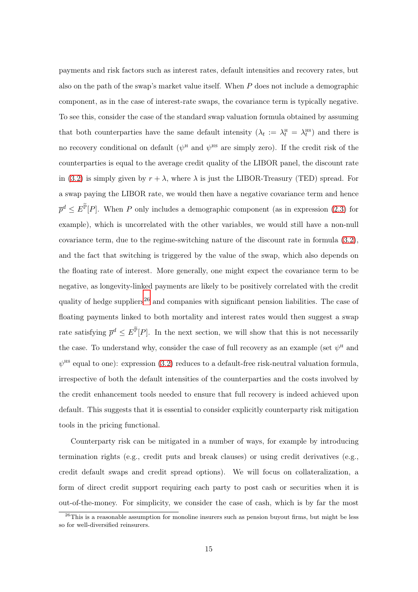payments and risk factors such as interest rates, default intensities and recovery rates, but also on the path of the swap's market value itself. When P does not include a demographic component, as in the case of interest-rate swaps, the covariance term is typically negative. To see this, consider the case of the standard swap valuation formula obtained by assuming that both counterparties have the same default intensity  $(\lambda_t := \lambda_t^{\text{H}} = \lambda_t^{\text{HS}})$  $t<sup>HS</sup>$  and there is no recovery conditional on default  $(\psi^{\text{H}}$  and  $\psi^{\text{HS}}$  are simply zero). If the credit risk of the counterparties is equal to the average credit quality of the LIBOR panel, the discount rate in [\(3.2\)](#page-15-1) is simply given by  $r + \lambda$ , where  $\lambda$  is just the LIBOR-Treasury (TED) spread. For a swap paying the LIBOR rate, we would then have a negative covariance term and hence  $\overline{p}^d \leq E^{\tilde{\mathbb{P}}}[P]$ . When P only includes a demographic component (as in expression [\(2.3\)](#page-10-0) for example), which is uncorrelated with the other variables, we would still have a non-null covariance term, due to the regime-switching nature of the discount rate in formula [\(3.2\)](#page-15-1), and the fact that switching is triggered by the value of the swap, which also depends on the floating rate of interest. More generally, one might expect the covariance term to be negative, as longevity-linked payments are likely to be positively correlated with the credit quality of hedge suppliers<sup>26</sup> and companies with significant pension liabilities. The case of floating payments linked to both mortality and interest rates would then suggest a swap rate satisfying  $\bar{p}^d \leq E^{\tilde{\mathbb{P}}}[P]$ . In the next section, we will show that this is not necessarily the case. To understand why, consider the case of full recovery as an example (set  $\psi^{\text{H}}$  and  $\psi^{\text{HS}}$  equal to one): expression [\(3.2\)](#page-15-1) reduces to a default-free risk-neutral valuation formula, irrespective of both the default intensities of the counterparties and the costs involved by the credit enhancement tools needed to ensure that full recovery is indeed achieved upon default. This suggests that it is essential to consider explicitly counterparty risk mitigation tools in the pricing functional.

Counterparty risk can be mitigated in a number of ways, for example by introducing termination rights (e.g., credit puts and break clauses) or using credit derivatives (e.g., credit default swaps and credit spread options). We will focus on collateralization, a form of direct credit support requiring each party to post cash or securities when it is out-of-the-money. For simplicity, we consider the case of cash, which is by far the most

 $26$ This is a reasonable assumption for monoline insurers such as pension buyout firms, but might be less so for well-diversified reinsurers.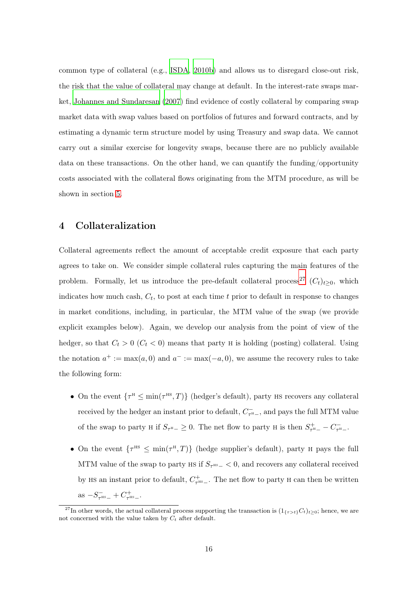common type of collateral (e.g., [ISDA](#page-31-5), [2010b\)](#page-31-5) and allows us to disregard close-out risk, the risk that the value of collateral may change at default. In the interest-rate swaps market, [Johannes and Sundaresan \(2007\)](#page-31-6) find evidence of costly collateral by comparing swap market data with swap values based on portfolios of futures and forward contracts, and by estimating a dynamic term structure model by using Treasury and swap data. We cannot carry out a similar exercise for longevity swaps, because there are no publicly available data on these transactions. On the other hand, we can quantify the funding/opportunity costs associated with the collateral flows originating from the MTM procedure, as will be shown in section [5.](#page-22-0)

#### <span id="page-17-0"></span>4 Collateralization

Collateral agreements reflect the amount of acceptable credit exposure that each party agrees to take on. We consider simple collateral rules capturing the main features of the problem. Formally, let us introduce the pre-default collateral process<sup>27</sup> ( $C_t$ )<sub>t≥0</sub>, which indicates how much cash,  $C_t$ , to post at each time t prior to default in response to changes in market conditions, including, in particular, the MTM value of the swap (we provide explicit examples below). Again, we develop our analysis from the point of view of the hedger, so that  $C_t > 0$  ( $C_t < 0$ ) means that party H is holding (posting) collateral. Using the notation  $a^+ := max(a, 0)$  and  $a^- := max(-a, 0)$ , we assume the recovery rules to take the following form:

- On the event  $\{\tau^{\text{\tiny{H}}} \leq \min(\tau^{\text{\tiny{HS}}},T)\}\$  (hedger's default), party HS recovers any collateral received by the hedger an instant prior to default,  $C_{\tau^{\text{H}}-}^{-}$ , and pays the full MTM value of the swap to party H if  $S_{\tau^{\text{H}}-} \geq 0$ . The net flow to party H is then  $S_{\tau^{\text{H}}-}^+ - C_{\tau^{\text{H}}-}^-$ .
- On the event  $\{\tau^{HS} \leq \min(\tau^{H},T)\}\$  (hedge supplier's default), party H pays the full MTM value of the swap to party HS if  $S_{\tau^{\text{HS}}-} < 0$ , and recovers any collateral received by HS an instant prior to default,  $C_{\tau^{\text{HS}}-}^+$ . The net flow to party H can then be written as  $-S_{\tau^{\text{HS}}-}^- + C_{\tau^{\text{HS}}-}^+$ .

<sup>&</sup>lt;sup>27</sup>In other words, the actual collateral process supporting the transaction is  $(1_{\{\tau>t\}}C_t)_{t\geq0}$ ; hence, we are not concerned with the value taken by  $C_t$  after default.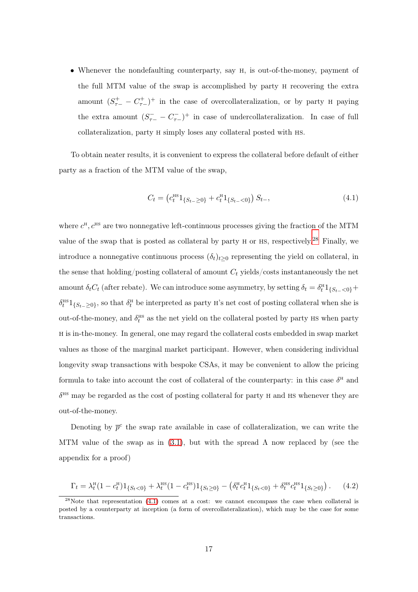• Whenever the nondefaulting counterparty, say H, is out-of-the-money, payment of the full MTM value of the swap is accomplished by party h recovering the extra amount  $(S_{\tau-}^+ - C_{\tau-}^+)^+$  in the case of overcollateralization, or by party H paying the extra amount  $(S_{\tau-}^- - C_{\tau-}^-)^+$  in case of undercollateralization. In case of full collateralization, party h simply loses any collateral posted with hs.

To obtain neater results, it is convenient to express the collateral before default of either party as a fraction of the MTM value of the swap,

<span id="page-18-0"></span>
$$
C_t = (c_t^{\text{HS}} 1_{\{S_{t-} \ge 0\}} + c_t^{\text{H}} 1_{\{S_{t-} < 0\}}) S_{t-}, \tag{4.1}
$$

where  $c^{\text{H}}$ ,  $c^{\text{HS}}$  are two nonnegative left-continuous processes giving the fraction of the MTM value of the swap that is posted as collateral by party H or HS, respectively.<sup>28</sup> Finally, we introduce a nonnegative continuous process  $(\delta_t)_{t>0}$  representing the yield on collateral, in the sense that holding/posting collateral of amount  $C_t$  yields/costs instantaneously the net amount  $\delta_t C_t$  (after rebate). We can introduce some asymmetry, by setting  $\delta_t = \delta_t^{\text{H}} 1_{\{S_{t-} < 0\}} +$  $\delta_t^{\text{HS}}1_{\{S_{t-}\geq 0\}}$ , so that  $\delta_t^{\text{H}}$  be interpreted as party H's net cost of posting collateral when she is out-of-the-money, and  $\delta_t^{\text{HS}}$  as the net yield on the collateral posted by party HS when party h is in-the-money. In general, one may regard the collateral costs embedded in swap market values as those of the marginal market participant. However, when considering individual longevity swap transactions with bespoke CSAs, it may be convenient to allow the pricing formula to take into account the cost of collateral of the counterparty: in this case  $\delta^{\text{H}}$  and  $\delta^{\text{HS}}$  may be regarded as the cost of posting collateral for party H and HS whenever they are out-of-the-money.

Denoting by  $\bar{p}^c$  the swap rate available in case of collateralization, we can write the MTM value of the swap as in  $(3.1)$ , but with the spread  $\Lambda$  now replaced by (see the appendix for a proof)

<span id="page-18-1"></span>
$$
\Gamma_t = \lambda_t^{\text{H}} (1 - c_t^{\text{H}}) 1_{\{S_t < 0\}} + \lambda_t^{\text{HS}} (1 - c_t^{\text{HS}}) 1_{\{S_t \ge 0\}} - \left( \delta_t^{\text{H}} c_t^{\text{H}} 1_{\{S_t < 0\}} + \delta_t^{\text{HS}} c_t^{\text{HS}} 1_{\{S_t \ge 0\}} \right). \tag{4.2}
$$

<sup>&</sup>lt;sup>28</sup>Note that representation  $(4.1)$  comes at a cost: we cannot encompass the case when collateral is posted by a counterparty at inception (a form of overcollateralization), which may be the case for some transactions.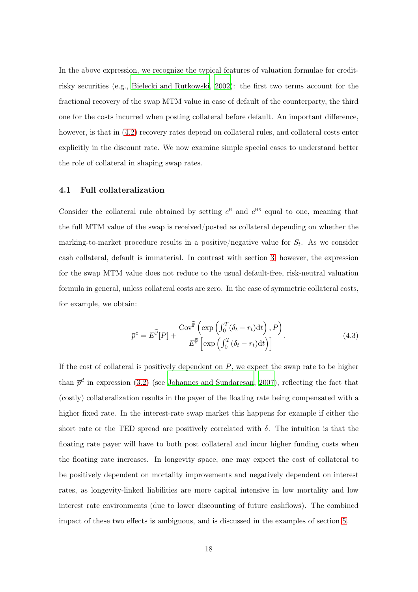In the above expression, we recognize the typical features of valuation formulae for creditrisky securities (e.g., [Bielecki and Rutkowski](#page-28-7), [2002\)](#page-28-7): the first two terms account for the fractional recovery of the swap MTM value in case of default of the counterparty, the third one for the costs incurred when posting collateral before default. An important difference, however, is that in  $(4.2)$  recovery rates depend on collateral rules, and collateral costs enter explicitly in the discount rate. We now examine simple special cases to understand better the role of collateral in shaping swap rates.

#### 4.1 Full collateralization

Consider the collateral rule obtained by setting  $c^{\text{H}}$  and  $c^{\text{HS}}$  equal to one, meaning that the full MTM value of the swap is received/posted as collateral depending on whether the marking-to-market procedure results in a positive/negative value for  $S_t$ . As we consider cash collateral, default is immaterial. In contrast with section [3,](#page-14-0) however, the expression for the swap MTM value does not reduce to the usual default-free, risk-neutral valuation formula in general, unless collateral costs are zero. In the case of symmetric collateral costs, for example, we obtain:

$$
\overline{p}^c = E^{\widetilde{\mathbb{P}}}[P] + \frac{\text{Cov}^{\widetilde{\mathbb{P}}}\left(\exp\left(\int_0^T (\delta_t - r_t) dt\right), P\right)}{E^{\widetilde{\mathbb{P}}}\left[\exp\left(\int_0^T (\delta_t - r_t) dt\right)\right]}.
$$
\n(4.3)

If the cost of collateral is positively dependent on  $P$ , we expect the swap rate to be higher than  $\bar{p}^d$  in expression [\(3.2\)](#page-15-1) (see [Johannes and Sundaresan, 2007](#page-31-6)), reflecting the fact that (costly) collateralization results in the payer of the floating rate being compensated with a higher fixed rate. In the interest-rate swap market this happens for example if either the short rate or the TED spread are positively correlated with  $\delta$ . The intuition is that the floating rate payer will have to both post collateral and incur higher funding costs when the floating rate increases. In longevity space, one may expect the cost of collateral to be positively dependent on mortality improvements and negatively dependent on interest rates, as longevity-linked liabilities are more capital intensive in low mortality and low interest rate environments (due to lower discounting of future cashflows). The combined impact of these two effects is ambiguous, and is discussed in the examples of section [5.](#page-22-0)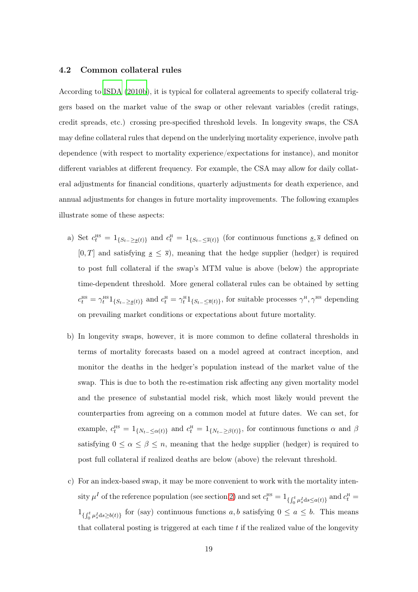#### 4.2 Common collateral rules

According to [ISDA \(2010b\)](#page-31-5), it is typical for collateral agreements to specify collateral triggers based on the market value of the swap or other relevant variables (credit ratings, credit spreads, etc.) crossing pre-specified threshold levels. In longevity swaps, the CSA may define collateral rules that depend on the underlying mortality experience, involve path dependence (with respect to mortality experience/expectations for instance), and monitor different variables at different frequency. For example, the CSA may allow for daily collateral adjustments for financial conditions, quarterly adjustments for death experience, and annual adjustments for changes in future mortality improvements. The following examples illustrate some of these aspects:

- a) Set  $c_t^{\text{HS}} = 1_{\{S_{t-} \geq s(t)\}}$  and  $c_t^{\text{H}} = 1_{\{S_{t-} \leq \overline{s}(t)\}}$  (for continuous functions  $s, \overline{s}$  defined on  $[0, T]$  and satisfying  $s \leq \overline{s}$ , meaning that the hedge supplier (hedger) is required to post full collateral if the swap's MTM value is above (below) the appropriate time-dependent threshold. More general collateral rules can be obtained by setting  $c_t^{\text{HS}} = \gamma_t^{\text{HS}} 1_{\{S_{t-} \geq s(t)\}}$  and  $c_t^{\text{H}} = \gamma_t^{\text{H}} 1_{\{S_{t-} \leq \overline{s}(t)\}}$ , for suitable processes  $\gamma^{\text{H}}, \gamma^{\text{HS}}$  depending on prevailing market conditions or expectations about future mortality.
- b) In longevity swaps, however, it is more common to define collateral thresholds in terms of mortality forecasts based on a model agreed at contract inception, and monitor the deaths in the hedger's population instead of the market value of the swap. This is due to both the re-estimation risk affecting any given mortality model and the presence of substantial model risk, which most likely would prevent the counterparties from agreeing on a common model at future dates. We can set, for example,  $c_t^{\text{HS}} = 1_{\{N_{t-} \leq \alpha(t)\}}$  and  $c_t^{\text{H}} = 1_{\{N_{t-} \geq \beta(t)\}}$ , for continuous functions  $\alpha$  and  $\beta$ satisfying  $0 \le \alpha \le \beta \le n$ , meaning that the hedge supplier (hedger) is required to post full collateral if realized deaths are below (above) the relevant threshold.
- c) For an index-based swap, it may be more convenient to work with the mortality intensity  $\mu^I$  of the reference population (see section [2\)](#page-8-0) and set  $c_t^{\text{HS}} = 1_{\{ \int_0^t \mu_s^I ds \le a(t) \}}$  and  $c_t^{\text{H}} =$  $1_{\{ \int_0^t \mu_s^I ds \ge b(t) \}}$  for (say) continuous functions a, b satisfying  $0 \le a \le b$ . This means that collateral posting is triggered at each time  $t$  if the realized value of the longevity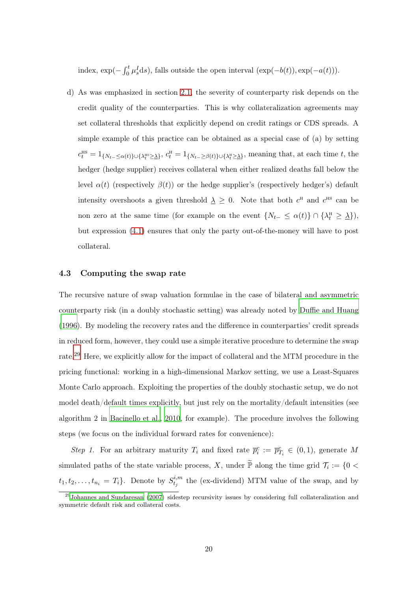index,  $\exp(-\int_0^t \mu_s^I ds)$ , falls outside the open interval  $(\exp(-b(t)), \exp(-a(t)))$ .

d) As was emphasized in section [2.1,](#page-12-0) the severity of counterparty risk depends on the credit quality of the counterparties. This is why collateralization agreements may set collateral thresholds that explicitly depend on credit ratings or CDS spreads. A simple example of this practice can be obtained as a special case of (a) by setting  $c_t^{\text{HS}} = 1_{\{N_{t-} \leq \alpha(t)\} \cup \{\lambda_t^{\text{HS}} \geq \underline{\lambda}\}}, c_t^{\text{H}} = 1_{\{N_{t-} \geq \beta(t)\} \cup \{\lambda_t^{\text{H}} \geq \underline{\lambda}\}},$  meaning that, at each time t, the hedger (hedge supplier) receives collateral when either realized deaths fall below the level  $\alpha(t)$  (respectively  $\beta(t)$ ) or the hedge supplier's (respectively hedger's) default intensity overshoots a given threshold  $\lambda \geq 0$ . Note that both  $c^{\text{H}}$  and  $c^{\text{HS}}$  can be non zero at the same time (for example on the event  $\{N_{t-} \leq \alpha(t)\} \cap \{\lambda_t^{\text{H}} \geq \underline{\lambda}\}\)$ , but expression [\(4.1\)](#page-18-0) ensures that only the party out-of-the-money will have to post collateral.

#### <span id="page-21-0"></span>4.3 Computing the swap rate

The recursive nature of swap valuation formulae in the case of bilateral and asymmetric counterparty risk (in a doubly stochastic setting) was already noted by [Duffie and Huang](#page-30-11) [\(1996\)](#page-30-11). By modeling the recovery rates and the difference in counterparties' credit spreads in reduced form, however, they could use a simple iterative procedure to determine the swap rate.<sup>29</sup> Here, we explicitly allow for the impact of collateral and the MTM procedure in the pricing functional: working in a high-dimensional Markov setting, we use a Least-Squares Monte Carlo approach. Exploiting the properties of the doubly stochastic setup, we do not model death/default times explicitly, but just rely on the mortality/default intensities (see algorithm 2 in [Bacinello et al., 2010,](#page-28-3) for example). The procedure involves the following steps (we focus on the individual forward rates for convenience):

Step 1. For an arbitrary maturity  $T_i$  and fixed rate  $\bar{p}_i^c := \bar{p}_{T_i}^c \in (0,1)$ , generate M simulated paths of the state variable process, X, under  $\widetilde{\mathbb{P}}$  along the time grid  $\mathcal{T}_i := \{0 \leq i \leq n \}$  $t_1, t_2, \ldots, t_{n_i} = T_i$ . Denote by  $S_{t_i}^{i,m}$  $t_j^{n,m}$  the (ex-dividend) MTM value of the swap, and by

<sup>&</sup>lt;sup>29</sup>[Johannes and Sundaresan \(2007\)](#page-31-6) sidestep recursivity issues by considering full collateralization and symmetric default risk and collateral costs.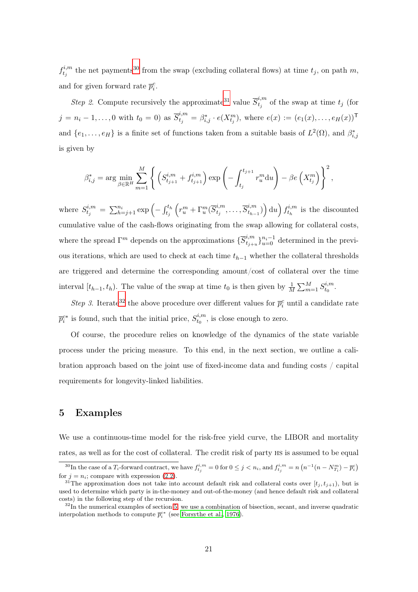$f_{t_i}^{i,m}$  $t_j^{i,m}$  the net payments<sup>30</sup> from the swap (excluding collateral flows) at time  $t_j$ , on path m, and for given forward rate  $\bar{p}_i^c$ .

Step 2. Compute recursively the approximate<sup>31</sup> value  $\overline{S}_{t_i}^{i,m}$  $t_j^{t,m}$  of the swap at time  $t_j$  (for  $j = n_i - 1, \ldots, 0$  with  $t_0 = 0$ ) as  $\overline{S}_{t_j}^{i,m} = \beta_{i,j}^* \cdot e(X_{t_j}^m)$ , where  $e(x) := (e_1(x), \ldots, e_H(x))^{\mathsf{T}}$ and  $\{e_1,\ldots,e_H\}$  is a finite set of functions taken from a suitable basis of  $L^2(\Omega)$ , and  $\beta^*_{i,j}$ is given by

$$
\beta_{i,j}^* = \arg \min_{\beta \in \mathbb{R}^H} \sum_{m=1}^M \left\{ \left( S_{t_{j+1}}^{i,m} + f_{t_{j+1}}^{i,m} \right) \exp \left( - \int_{t_j}^{t_{j+1}} r_u^m \mathrm{d}u \right) - \beta e \left( X_{t_j}^m \right) \right\}^2,
$$

where  $S_{t_j}^{i,m} = \sum_{h=j+1}^{n_i} \exp \left(-\int_{t_j}^{t_h}$  $\left(r_u^m + \Gamma_u^m (\overline{S}_{t_i}^{i,m})\right)$  $_{t_j}^{i,m},\ldots, \overline{S}_{t_{h-}}^{i,m}$  $\begin{pmatrix} i,m \\ t_{h-1} \end{pmatrix}$  du  $\left( \begin{matrix} f^{i,m} \\ f^{i,h} \end{matrix} \right)$  $t_h^{i,m}$  is the discounted cumulative value of the cash-flows originating from the swap allowing for collateral costs, where the spread  $\Gamma^m$  depends on the approximations  $\{\overline{S}_{t_{i+1}}^{i,m}$  $\{t_{j+u}\}_{u=0}^{n_i-1}$  determined in the previous iterations, which are used to check at each time  $t_{h-1}$  whether the collateral thresholds are triggered and determine the corresponding amount/cost of collateral over the time interval  $[t_{h-1}, t_h)$ . The value of the swap at time  $t_0$  is then given by  $\frac{1}{M} \sum_{m=1}^{M} S_{t_0}^{i,m}$  $t_0^{u,m}$ .

Step 3. Iterate<sup>32</sup> the above procedure over different values for  $\bar{p}_i^c$  until a candidate rate  $\overline{p}_{i}^{c*}$  is found, such that the initial price,  $S_{t_0}^{i,m}$  $t_0^{n,m}$ , is close enough to zero.

Of course, the procedure relies on knowledge of the dynamics of the state variable process under the pricing measure. To this end, in the next section, we outline a calibration approach based on the joint use of fixed-income data and funding costs / capital requirements for longevity-linked liabilities.

#### <span id="page-22-0"></span>5 Examples

We use a continuous-time model for the risk-free yield curve, the LIBOR and mortality rates, as well as for the cost of collateral. The credit risk of party hs is assumed to be equal

<sup>&</sup>lt;sup>30</sup>In the case of a  $T_i$ -forward contract, we have  $f_{t_j}^{i,m} = 0$  for  $0 \leq j < n_i$ , and  $f_{t_j}^{i,m} = n\left(n^{-1}(n - N_{T_i}^m) - \overline{p}_i^c\right)$ for  $j = n_i$ ; compare with expression  $(2.2)$ .

<sup>&</sup>lt;sup>31</sup>The approximation does not take into account default risk and collateral costs over  $[t_j, t_{j+1})$ , but is used to determine which party is in-the-money and out-of-the-money (and hence default risk and collateral costs) in the following step of the recursion.

 $32$ In the numerical examples of section [5,](#page-22-0) we use a combination of bisection, secant, and inverse quadratic interpolation methods to compute  $\bar{p}_i^{c*}$  (see [Forsythe et al., 1976\)](#page-30-12).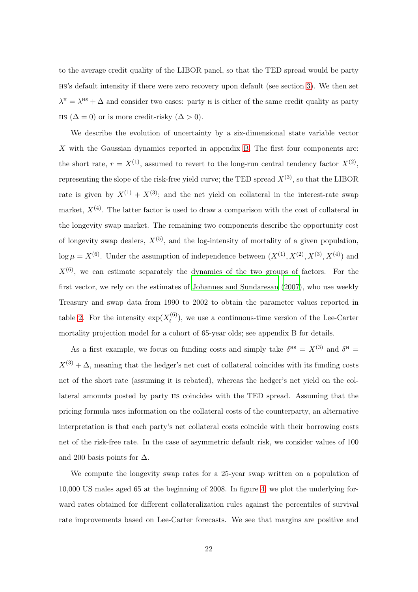to the average credit quality of the LIBOR panel, so that the TED spread would be party hs's default intensity if there were zero recovery upon default (see section [3\)](#page-14-0). We then set  $\lambda^{\text{H}} = \lambda^{\text{HS}} + \Delta$  and consider two cases: party H is either of the same credit quality as party HS  $(\Delta = 0)$  or is more credit-risky  $(\Delta > 0)$ .

We describe the evolution of uncertainty by a six-dimensional state variable vector  $X$  with the Gaussian dynamics reported in appendix [B.](#page-35-0) The first four components are: the short rate,  $r = X^{(1)}$ , assumed to revert to the long-run central tendency factor  $X^{(2)}$ , representing the slope of the risk-free yield curve; the TED spread  $X^{(3)}$ , so that the LIBOR rate is given by  $X^{(1)} + X^{(3)}$ ; and the net yield on collateral in the interest-rate swap market,  $X^{(4)}$ . The latter factor is used to draw a comparison with the cost of collateral in the longevity swap market. The remaining two components describe the opportunity cost of longevity swap dealers,  $X^{(5)}$ , and the log-intensity of mortality of a given population,  $\log \mu = X^{(6)}$ . Under the assumption of independence between  $(X^{(1)}, X^{(2)}, X^{(3)}, X^{(4)})$  and  $X^{(6)}$ , we can estimate separately the dynamics of the two groups of factors. For the first vector, we rely on the estimates of [Johannes and Sundaresan](#page-31-6) [\(2007](#page-31-6)), who use weekly Treasury and swap data from 1990 to 2002 to obtain the parameter values reported in table [2.](#page-38-0) For the intensity  $\exp(X_t^{(6)})$  $t^{(0)}$ , we use a continuous-time version of the Lee-Carter mortality projection model for a cohort of 65-year olds; see appendix B for details.

As a first example, we focus on funding costs and simply take  $\delta^{\text{Hs}} = X^{(3)}$  and  $\delta^{\text{H}} =$  $X^{(3)} + \Delta$ , meaning that the hedger's net cost of collateral coincides with its funding costs net of the short rate (assuming it is rebated), whereas the hedger's net yield on the collateral amounts posted by party hs coincides with the TED spread. Assuming that the pricing formula uses information on the collateral costs of the counterparty, an alternative interpretation is that each party's net collateral costs coincide with their borrowing costs net of the risk-free rate. In the case of asymmetric default risk, we consider values of 100 and 200 basis points for  $\Delta$ .

We compute the longevity swap rates for a 25-year swap written on a population of 10,000 US males aged 65 at the beginning of 2008. In figure [4,](#page-42-0) we plot the underlying forward rates obtained for different collateralization rules against the percentiles of survival rate improvements based on Lee-Carter forecasts. We see that margins are positive and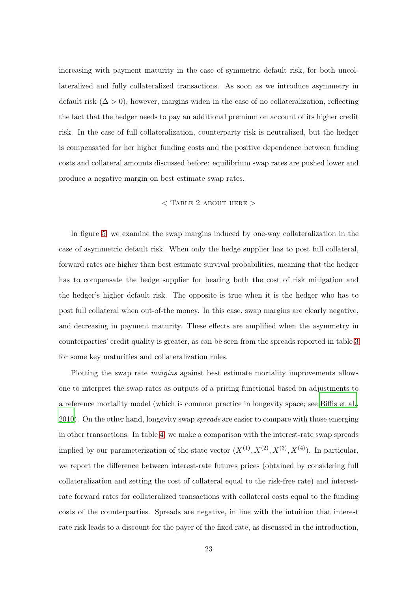increasing with payment maturity in the case of symmetric default risk, for both uncollateralized and fully collateralized transactions. As soon as we introduce asymmetry in default risk  $(\Delta > 0)$ , however, margins widen in the case of no collateralization, reflecting the fact that the hedger needs to pay an additional premium on account of its higher credit risk. In the case of full collateralization, counterparty risk is neutralized, but the hedger is compensated for her higher funding costs and the positive dependence between funding costs and collateral amounts discussed before: equilibrium swap rates are pushed lower and produce a negative margin on best estimate swap rates.

#### $<$  Table 2 about here  $>$

In figure [5,](#page-43-0) we examine the swap margins induced by one-way collateralization in the case of asymmetric default risk. When only the hedge supplier has to post full collateral, forward rates are higher than best estimate survival probabilities, meaning that the hedger has to compensate the hedge supplier for bearing both the cost of risk mitigation and the hedger's higher default risk. The opposite is true when it is the hedger who has to post full collateral when out-of-the money. In this case, swap margins are clearly negative, and decreasing in payment maturity. These effects are amplified when the asymmetry in counterparties' credit quality is greater, as can be seen from the spreads reported in table [3](#page-38-1) for some key maturities and collateralization rules.

Plotting the swap rate margins against best estimate mortality improvements allows one to interpret the swap rates as outputs of a pricing functional based on adjustments to a reference mortality model (which is common practice in longevity space; see [Biffis et al.](#page-29-4), [2010\)](#page-29-4). On the other hand, longevity swap spreads are easier to compare with those emerging in other transactions. In table [4,](#page-38-2) we make a comparison with the interest-rate swap spreads implied by our parameterization of the state vector  $(X^{(1)}, X^{(2)}, X^{(3)}, X^{(4)})$ . In particular, we report the difference between interest-rate futures prices (obtained by considering full collateralization and setting the cost of collateral equal to the risk-free rate) and interestrate forward rates for collateralized transactions with collateral costs equal to the funding costs of the counterparties. Spreads are negative, in line with the intuition that interest rate risk leads to a discount for the payer of the fixed rate, as discussed in the introduction,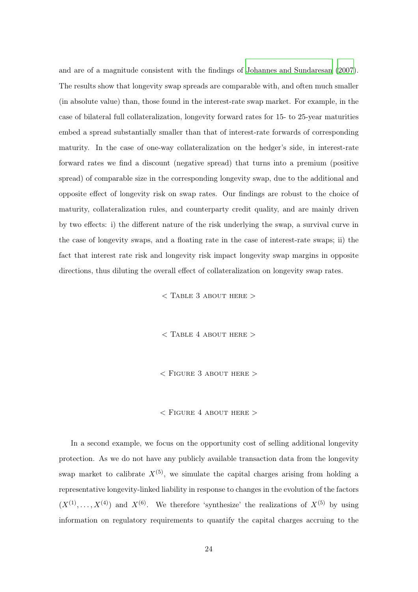and are of a magnitude consistent with the findings of [Johannes and Sundaresan](#page-31-6) [\(2007](#page-31-6)). The results show that longevity swap spreads are comparable with, and often much smaller (in absolute value) than, those found in the interest-rate swap market. For example, in the case of bilateral full collateralization, longevity forward rates for 15- to 25-year maturities embed a spread substantially smaller than that of interest-rate forwards of corresponding maturity. In the case of one-way collateralization on the hedger's side, in interest-rate forward rates we find a discount (negative spread) that turns into a premium (positive spread) of comparable size in the corresponding longevity swap, due to the additional and opposite effect of longevity risk on swap rates. Our findings are robust to the choice of maturity, collateralization rules, and counterparty credit quality, and are mainly driven by two effects: i) the different nature of the risk underlying the swap, a survival curve in the case of longevity swaps, and a floating rate in the case of interest-rate swaps; ii) the fact that interest rate risk and longevity risk impact longevity swap margins in opposite directions, thus diluting the overall effect of collateralization on longevity swap rates.

 $<$  TABLE 3 ABOUT HERE  $>$ 

 $<$  Table 4 about here  $>$ 

 $<$  FIGURE 3 ABOUT HERE  $>$ 

 $\langle$  FIGURE 4 ABOUT HERE  $\rangle$ 

In a second example, we focus on the opportunity cost of selling additional longevity protection. As we do not have any publicly available transaction data from the longevity swap market to calibrate  $X^{(5)}$ , we simulate the capital charges arising from holding a representative longevity-linked liability in response to changes in the evolution of the factors  $(X^{(1)},..., X^{(4)})$  and  $X^{(6)}$ . We therefore 'synthesize' the realizations of  $X^{(5)}$  by using information on regulatory requirements to quantify the capital charges accruing to the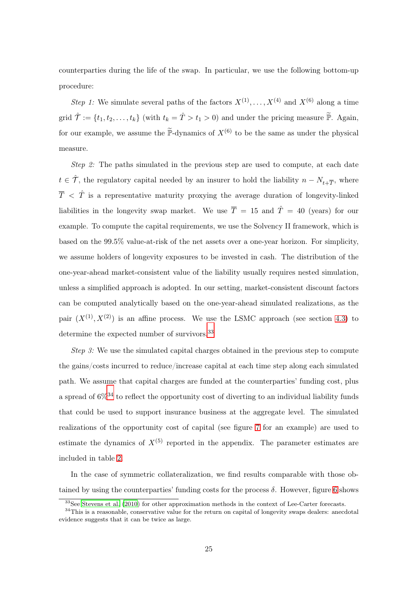counterparties during the life of the swap. In particular, we use the following bottom-up procedure:

Step 1: We simulate several paths of the factors  $X^{(1)}, \ldots, X^{(4)}$  and  $X^{(6)}$  along a time grid  $\hat{\mathcal{T}} := \{t_1, t_2, \ldots, t_k\}$  (with  $t_k = \hat{\mathcal{T}} > t_1 > 0$ ) and under the pricing measure  $\tilde{\mathbb{P}}$ . Again, for our example, we assume the  $\widetilde{\mathbb{P}}$ -dynamics of  $X^{(6)}$  to be the same as under the physical measure.

Step 2: The paths simulated in the previous step are used to compute, at each date  $t \in \hat{\mathcal{T}}$ , the regulatory capital needed by an insurer to hold the liability  $n - N_{t+\overline{\mathcal{T}}}$ , where  $\overline{T}$  <  $\hat{T}$  is a representative maturity proxying the average duration of longevity-linked liabilities in the longevity swap market. We use  $\overline{T} = 15$  and  $\hat{T} = 40$  (years) for our example. To compute the capital requirements, we use the Solvency II framework, which is based on the 99.5% value-at-risk of the net assets over a one-year horizon. For simplicity, we assume holders of longevity exposures to be invested in cash. The distribution of the one-year-ahead market-consistent value of the liability usually requires nested simulation, unless a simplified approach is adopted. In our setting, market-consistent discount factors can be computed analytically based on the one-year-ahead simulated realizations, as the pair  $(X^{(1)}, X^{(2)})$  is an affine process. We use the LSMC approach (see section [4.3\)](#page-21-0) to determine the expected number of survivors.<sup>33</sup>

Step 3: We use the simulated capital charges obtained in the previous step to compute the gains/costs incurred to reduce/increase capital at each time step along each simulated path. We assume that capital charges are funded at the counterparties' funding cost, plus a spread of  $6\%^{34}$  to reflect the opportunity cost of diverting to an individual liability funds that could be used to support insurance business at the aggregate level. The simulated realizations of the opportunity cost of capital (see figure [7](#page-45-0) for an example) are used to estimate the dynamics of  $X^{(5)}$  reported in the appendix. The parameter estimates are included in table [2.](#page-38-0)

In the case of symmetric collateralization, we find results comparable with those obtained by using the counterparties' funding costs for the process  $\delta$ . However, figure [6](#page-44-0) shows

 $33$ See [Stevens et al. \(2010\)](#page-32-5) for other approximation methods in the context of Lee-Carter forecasts.

<sup>&</sup>lt;sup>34</sup>This is a reasonable, conservative value for the return on capital of longevity swaps dealers: anecdotal evidence suggests that it can be twice as large.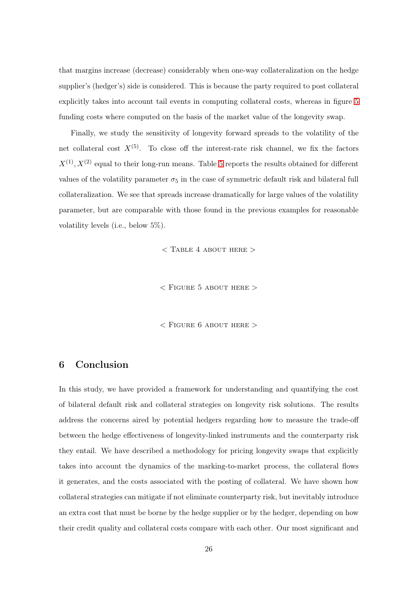that margins increase (decrease) considerably when one-way collateralization on the hedge supplier's (hedger's) side is considered. This is because the party required to post collateral explicitly takes into account tail events in computing collateral costs, whereas in figure [5](#page-43-0) funding costs where computed on the basis of the market value of the longevity swap.

Finally, we study the sensitivity of longevity forward spreads to the volatility of the net collateral cost  $X^{(5)}$ . To close off the interest-rate risk channel, we fix the factors  $X^{(1)}, X^{(2)}$  equal to their long-run means. Table [5](#page-39-1) reports the results obtained for different values of the volatility parameter  $\sigma_5$  in the case of symmetric default risk and bilateral full collateralization. We see that spreads increase dramatically for large values of the volatility parameter, but are comparable with those found in the previous examples for reasonable volatility levels (i.e., below 5%).

 $<$  Table 4 about here  $>$ 

 $<$  FIGURE 5 ABOUT HERE  $>$ 

 $<$  FIGURE 6 ABOUT HERE  $>$ 

#### <span id="page-27-0"></span>6 Conclusion

In this study, we have provided a framework for understanding and quantifying the cost of bilateral default risk and collateral strategies on longevity risk solutions. The results address the concerns aired by potential hedgers regarding how to measure the trade-off between the hedge effectiveness of longevity-linked instruments and the counterparty risk they entail. We have described a methodology for pricing longevity swaps that explicitly takes into account the dynamics of the marking-to-market process, the collateral flows it generates, and the costs associated with the posting of collateral. We have shown how collateral strategies can mitigate if not eliminate counterparty risk, but inevitably introduce an extra cost that must be borne by the hedge supplier or by the hedger, depending on how their credit quality and collateral costs compare with each other. Our most significant and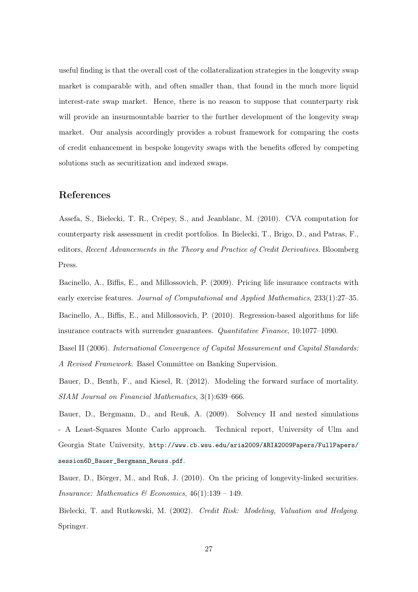useful finding is that the overall cost of the collateralization strategies in the longevity swap market is comparable with, and often smaller than, that found in the much more liquid interest-rate swap market. Hence, there is no reason to suppose that counterparty risk will provide an insurmountable barrier to the further development of the longevity swap market. Our analysis accordingly provides a robust framework for comparing the costs of credit enhancement in bespoke longevity swaps with the benefits offered by competing solutions such as securitization and indexed swaps.

#### References

<span id="page-28-1"></span>Assefa, S., Bielecki, T. R., Crépey, S., and Jeanblanc, M. (2010). CVA computation for counterparty risk assessment in credit portfolios. In Bielecki, T., Brigo, D., and Patras, F., editors, Recent Advancements in the Theory and Practice of Credit Derivatives. Bloomberg Press.

<span id="page-28-3"></span><span id="page-28-2"></span>Bacinello, A., Biffis, E., and Millossovich, P. (2009). Pricing life insurance contracts with early exercise features. Journal of Computational and Applied Mathematics, 233(1):27–35. Bacinello, A., Biffis, E., and Millossovich, P. (2010). Regression-based algorithms for life insurance contracts with surrender guarantees. Quantitative Finance, 10:1077–1090.

<span id="page-28-0"></span>Basel II (2006). International Convergence of Capital Measurement and Capital Standards: A Revised Framework. Basel Committee on Banking Supervision.

<span id="page-28-5"></span>Bauer, D., Benth, F., and Kiesel, R. (2012). Modeling the forward surface of mortality. SIAM Journal on Financial Mathematics, 3(1):639–666.

<span id="page-28-4"></span>Bauer, D., Bergmann, D., and Reuß, A. (2009). Solvency II and nested simulations - A Least-Squares Monte Carlo approach. Technical report, University of Ulm and Georgia State University, [http://www.cb.wsu.edu/aria2009/ARIA2009Papers/FullPapers/](http://www.cb.wsu.edu/aria2009/ARIA2009Papers/Full Papers/session6D_Bauer_Bergmann_Reuss.pdf) [session6D\\_Bauer\\_Bergmann\\_Reuss.pdf](http://www.cb.wsu.edu/aria2009/ARIA2009Papers/Full Papers/session6D_Bauer_Bergmann_Reuss.pdf).

<span id="page-28-6"></span>Bauer, D., Börger, M., and Ruß, J. (2010). On the pricing of longevity-linked securities. Insurance: Mathematics & Economics,  $46(1):139 - 149$ .

<span id="page-28-7"></span>Bielecki, T. and Rutkowski, M. (2002). Credit Risk: Modeling, Valuation and Hedging. Springer.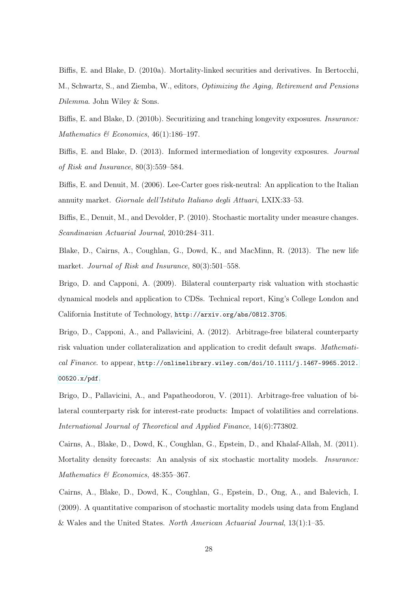<span id="page-29-8"></span>Biffis, E. and Blake, D. (2010a). Mortality-linked securities and derivatives. In Bertocchi, M., Schwartz, S., and Ziemba, W., editors, Optimizing the Aging, Retirement and Pensions Dilemma. John Wiley & Sons.

<span id="page-29-5"></span>Biffis, E. and Blake, D. (2010b). Securitizing and tranching longevity exposures. Insurance: Mathematics & Economics,  $46(1):186-197$ .

<span id="page-29-6"></span>Biffis, E. and Blake, D. (2013). Informed intermediation of longevity exposures. Journal of Risk and Insurance, 80(3):559–584.

<span id="page-29-10"></span>Biffis, E. and Denuit, M. (2006). Lee-Carter goes risk-neutral: An application to the Italian annuity market. Giornale dell'Istituto Italiano degli Attuari, LXIX:33–53.

<span id="page-29-4"></span>Biffis, E., Denuit, M., and Devolder, P. (2010). Stochastic mortality under measure changes. Scandinavian Actuarial Journal, 2010:284–311.

<span id="page-29-0"></span>Blake, D., Cairns, A., Coughlan, G., Dowd, K., and MacMinn, R. (2013). The new life market. Journal of Risk and Insurance, 80(3):501–558.

<span id="page-29-1"></span>Brigo, D. and Capponi, A. (2009). Bilateral counterparty risk valuation with stochastic dynamical models and application to CDSs. Technical report, King's College London and California Institute of Technology, <http://arxiv.org/abs/0812.3705>.

<span id="page-29-3"></span>Brigo, D., Capponi, A., and Pallavicini, A. (2012). Arbitrage-free bilateral counterparty risk valuation under collateralization and application to credit default swaps. Mathematical Finance. to appear, [http://onlinelibrary.wiley.com/doi/10.1111/j.1467-9965.2012.](http://onlinelibrary.wiley.com/doi/10.1111/j.1467-9965.2012.00520.x/pdf) [00520.x/pdf](http://onlinelibrary.wiley.com/doi/10.1111/j.1467-9965.2012.00520.x/pdf).

<span id="page-29-2"></span>Brigo, D., Pallavicini, A., and Papatheodorou, V. (2011). Arbitrage-free valuation of bilateral counterparty risk for interest-rate products: Impact of volatilities and correlations. International Journal of Theoretical and Applied Finance, 14(6):773802.

<span id="page-29-9"></span>Cairns, A., Blake, D., Dowd, K., Coughlan, G., Epstein, D., and Khalaf-Allah, M. (2011). Mortality density forecasts: An analysis of six stochastic mortality models. *Insurance:* Mathematics & Economics, 48:355-367.

<span id="page-29-7"></span>Cairns, A., Blake, D., Dowd, K., Coughlan, G., Epstein, D., Ong, A., and Balevich, I. (2009). A quantitative comparison of stochastic mortality models using data from England & Wales and the United States. North American Actuarial Journal, 13(1):1–35.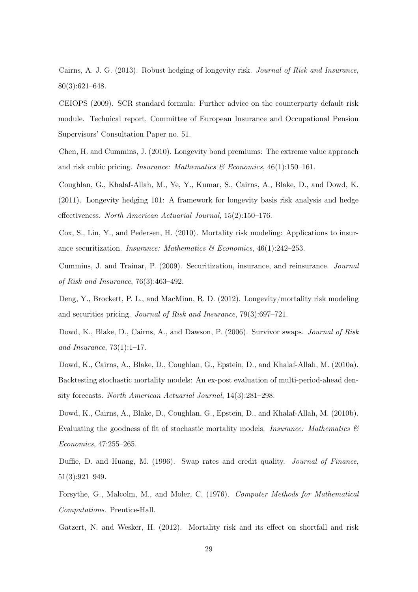<span id="page-30-8"></span>Cairns, A. J. G. (2013). Robust hedging of longevity risk. Journal of Risk and Insurance, 80(3):621–648.

<span id="page-30-2"></span>CEIOPS (2009). SCR standard formula: Further advice on the counterparty default risk module. Technical report, Committee of European Insurance and Occupational Pension Supervisors' Consultation Paper no. 51.

<span id="page-30-3"></span>Chen, H. and Cummins, J. (2010). Longevity bond premiums: The extreme value approach and risk cubic pricing. *Insurance: Mathematics*  $\mathcal{B}$  *Economics*, 46(1):150–161.

<span id="page-30-6"></span>Coughlan, G., Khalaf-Allah, M., Ye, Y., Kumar, S., Cairns, A., Blake, D., and Dowd, K. (2011). Longevity hedging 101: A framework for longevity basis risk analysis and hedge effectiveness. North American Actuarial Journal, 15(2):150–176.

<span id="page-30-4"></span>Cox, S., Lin, Y., and Pedersen, H. (2010). Mortality risk modeling: Applications to insurance securitization. Insurance: Mathematics & Economics,  $46(1):242-253$ .

<span id="page-30-1"></span>Cummins, J. and Trainar, P. (2009). Securitization, insurance, and reinsurance. Journal of Risk and Insurance, 76(3):463–492.

<span id="page-30-5"></span>Deng, Y., Brockett, P. L., and MacMinn, R. D. (2012). Longevity/mortality risk modeling and securities pricing. Journal of Risk and Insurance, 79(3):697–721.

<span id="page-30-0"></span>Dowd, K., Blake, D., Cairns, A., and Dawson, P. (2006). Survivor swaps. *Journal of Risk* and Insurance,  $73(1):1-17$ .

<span id="page-30-9"></span>Dowd, K., Cairns, A., Blake, D., Coughlan, G., Epstein, D., and Khalaf-Allah, M. (2010a). Backtesting stochastic mortality models: An ex-post evaluation of multi-period-ahead density forecasts. North American Actuarial Journal, 14(3):281–298.

<span id="page-30-10"></span>Dowd, K., Cairns, A., Blake, D., Coughlan, G., Epstein, D., and Khalaf-Allah, M. (2010b). Evaluating the goodness of fit of stochastic mortality models. Insurance: Mathematics  $\mathcal{C}$ Economics, 47:255–265.

<span id="page-30-11"></span>Duffie, D. and Huang, M. (1996). Swap rates and credit quality. Journal of Finance, 51(3):921–949.

<span id="page-30-12"></span>Forsythe, G., Malcolm, M., and Moler, C. (1976). Computer Methods for Mathematical Computations. Prentice-Hall.

<span id="page-30-7"></span>Gatzert, N. and Wesker, H. (2012). Mortality risk and its effect on shortfall and risk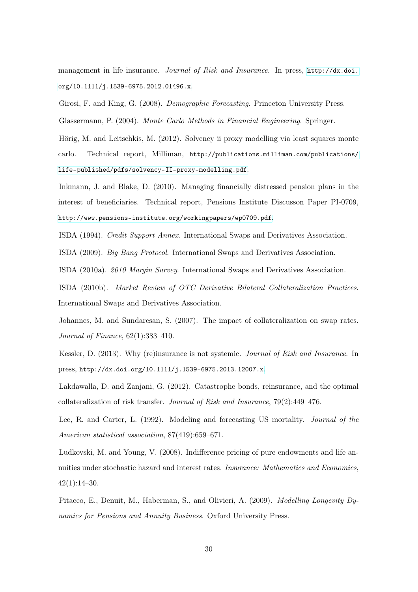management in life insurance. Journal of Risk and Insurance. In press, [http://dx.doi.](http://dx.doi.org/10.1111/j.1539-6975.2012.01496.x) [org/10.1111/j.1539-6975.2012.01496.x](http://dx.doi.org/10.1111/j.1539-6975.2012.01496.x).

<span id="page-31-11"></span><span id="page-31-7"></span>Girosi, F. and King, G. (2008). Demographic Forecasting. Princeton University Press. Glassermann, P. (2004). Monte Carlo Methods in Financial Engineering. Springer.

<span id="page-31-8"></span>Hörig, M. and Leitschkis, M. (2012). Solvency ii proxy modelling via least squares monte carlo. Technical report, Milliman, [http://publications.milliman.com/publications/](http://publications.milliman.com/publications/life-published/pdfs/solvency-II-proxy-modelling.pdf) [life-published/pdfs/solvency-II-proxy-modelling.pdf](http://publications.milliman.com/publications/life-published/pdfs/solvency-II-proxy-modelling.pdf).

<span id="page-31-13"></span>Inkmann, J. and Blake, D. (2010). Managing financially distressed pension plans in the interest of beneficiaries. Technical report, Pensions Institute Discusson Paper PI-0709, <http://www.pensions-institute.org/workingpapers/wp0709.pdf>.

<span id="page-31-3"></span>ISDA (1994). Credit Support Annex. International Swaps and Derivatives Association.

<span id="page-31-4"></span>ISDA (2009). Big Bang Protocol. International Swaps and Derivatives Association.

<span id="page-31-2"></span>ISDA (2010a). 2010 Margin Survey. International Swaps and Derivatives Association.

<span id="page-31-5"></span>ISDA (2010b). Market Review of OTC Derivative Bilateral Collateralization Practices. International Swaps and Derivatives Association.

<span id="page-31-6"></span>Johannes, M. and Sundaresan, S. (2007). The impact of collateralization on swap rates. Journal of Finance, 62(1):383–410.

<span id="page-31-1"></span>Kessler, D. (2013). Why (re)insurance is not systemic. Journal of Risk and Insurance. In press, <http://dx.doi.org/10.1111/j.1539-6975.2013.12007.x>.

<span id="page-31-0"></span>Lakdawalla, D. and Zanjani, G. (2012). Catastrophe bonds, reinsurance, and the optimal collateralization of risk transfer. Journal of Risk and Insurance, 79(2):449–476.

<span id="page-31-10"></span>Lee, R. and Carter, L. (1992). Modeling and forecasting US mortality. Journal of the American statistical association, 87(419):659–671.

<span id="page-31-9"></span>Ludkovski, M. and Young, V. (2008). Indifference pricing of pure endowments and life annuities under stochastic hazard and interest rates. Insurance: Mathematics and Economics, 42(1):14–30.

<span id="page-31-12"></span>Pitacco, E., Denuit, M., Haberman, S., and Olivieri, A. (2009). *Modelling Longevity Dy*namics for Pensions and Annuity Business. Oxford University Press.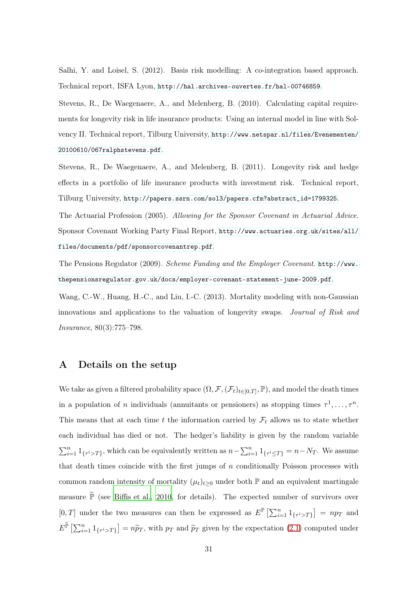<span id="page-32-2"></span>Salhi, Y. and Loisel, S. (2012). Basis risk modelling: A co-integration based approach. Technical report, ISFA Lyon, <http://hal.archives-ouvertes.fr/hal-00746859>.

<span id="page-32-5"></span>Stevens, R., De Waegenaere, A., and Melenberg, B. (2010). Calculating capital requirements for longevity risk in life insurance products: Using an internal model in line with Solvency II. Technical report, Tilburg University, [http://www.netspar.nl/files/Evenementen/](http://www.netspar.nl/files/Evenementen/20100610/067 ralph stevens.pdf) [20100610/067ralphstevens.pdf](http://www.netspar.nl/files/Evenementen/20100610/067 ralph stevens.pdf).

<span id="page-32-1"></span>Stevens, R., De Waegenaere, A., and Melenberg, B. (2011). Longevity risk and hedge effects in a portfolio of life insurance products with investment risk. Technical report, Tilburg University, [http://papers.ssrn.com/sol3/papers.cfm?abstract\\_id=1799325](http://papers.ssrn.com/sol3/papers.cfm?abstract_id=1799325).

<span id="page-32-3"></span>The Actuarial Profession (2005). Allowing for the Sponsor Covenant in Actuarial Advice. Sponsor Covenant Working Party Final Report, [http://www.actuaries.org.uk/sites/all/](http://www.actuaries.org.uk/sites/all/files/documents/pdf/sponsorcovenantrep.pdf) [files/documents/pdf/sponsorcovenantrep.pdf](http://www.actuaries.org.uk/sites/all/files/documents/pdf/sponsorcovenantrep.pdf).

<span id="page-32-4"></span>The Pensions Regulator (2009). Scheme Funding and the Employer Covenant. [http://www.](http://www.thepensionsregulator.gov.uk/docs/employer-covenant-statement-june-2009.pdf) [thepensionsregulator.gov.uk/docs/employer-covenant-statement-june-2009.pdf](http://www.thepensionsregulator.gov.uk/docs/employer-covenant-statement-june-2009.pdf).

<span id="page-32-0"></span>Wang, C.-W., Huang, H.-C., and Liu, I.-C. (2013). Mortality modeling with non-Gaussian innovations and applications to the valuation of longevity swaps. Journal of Risk and Insurance, 80(3):775–798.

#### A Details on the setup

We take as given a filtered probability space  $(\Omega, \mathcal{F}, (\mathcal{F}_t)_{t\in[0,T]}, \mathbb{P})$ , and model the death times in a population of *n* individuals (annuitants or pensioners) as stopping times  $\tau^1, \ldots, \tau^n$ . This means that at each time t the information carried by  $\mathcal{F}_t$  allows us to state whether each individual has died or not. The hedger's liability is given by the random variable  $\sum_{i=1}^{n} 1_{\{\tau^i > T\}}$ , which can be equivalently written as  $n - \sum_{i=1}^{n} 1_{\{\tau^i \le T\}} = n - N_T$ . We assume that death times coincide with the first jumps of  $n$  conditionally Poisson processes with common random intensity of mortality  $(\mu_t)_{t\geq 0}$  under both  $\mathbb P$  and an equivalent martingale measure  $\widetilde{\mathbb{P}}$  (see [Biffis et al.](#page-29-4), [2010](#page-29-4), for details). The expected number of survivors over [0, T] under the two measures can then be expressed as  $E^{\mathbb{P}}\left[\sum_{i=1}^{n}1_{\{\tau^i>T\}}\right] = np_T$  and  $E^{\tilde{\mathbb{P}}}\left[\sum_{i=1}^{n}1_{\{\tau^i>T\}}\right]=n\tilde{p}_T$ , with  $p_T$  and  $\tilde{p}_T$  given by the expectation [\(2.1\)](#page-9-0) computed under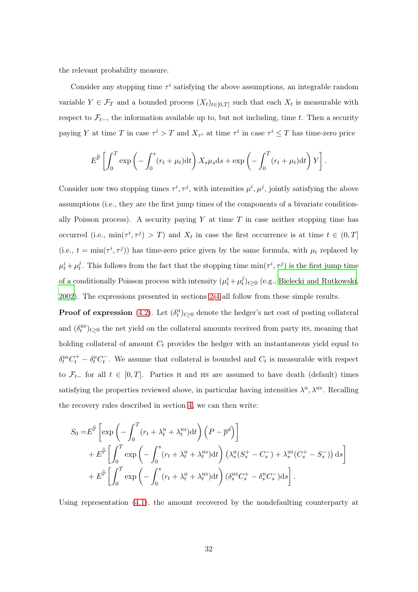the relevant probability measure.

Consider any stopping time  $\tau^i$  satisfying the above assumptions, an integrable random variable  $Y \in \mathcal{F}_T$  and a bounded process  $(X_t)_{t \in [0,T]}$  such that each  $X_t$  is measurable with respect to  $\mathcal{F}_{t-}$ , the information available up to, but not including, time t. Then a security paying Y at time T in case  $\tau^i > T$  and  $X_{\tau^i}$  at time  $\tau^i$  in case  $\tau^i \leq T$  has time-zero price

$$
E^{\widetilde{\mathbb{P}}}\left[\int_0^T \exp\left(-\int_0^s (r_t+\mu_t)dt\right)X_s\mu_s\mathrm{d}s+\exp\left(-\int_0^T (r_t+\mu_t)\mathrm{d}t\right)Y\right].
$$

Consider now two stopping times  $\tau^i, \tau^j$ , with intensities  $\mu^i, \mu^j$ , jointly satisfying the above assumptions (i.e., they are the first jump times of the components of a bivariate conditionally Poisson process). A security paying Y at time T in case neither stopping time has occurred (i.e.,  $\min(\tau^i, \tau^j) > T$ ) and  $X_t$  in case the first occurrence is at time  $t \in (0, T]$ (i.e.,  $t = \min(\tau^i, \tau^j)$ ) has time-zero price given by the same formula, with  $\mu_t$  replaced by  $\mu_t^i + \mu_t^j$  $t_t^j$ . This follows from the fact that the stopping time  $\min(\tau^i, \tau^j)$  is the first jump time % of a conditionally Poisson process with intensity  $(\mu_t^i + \mu_t^j)$  $_{t}^{y}$ <sub>t</sub> $_{t\geq0}$  (e.g., [Bielecki and Rutkowski](#page-28-7), [2002\)](#page-28-7). The expressions presented in sections [2-](#page-8-0)[4](#page-17-0) all follow from these simple results.

**Proof of expression** [\(4.2\)](#page-18-1). Let  $(\delta_t^{\text{H}})$  $_{t}^{\text{H}}$ <sub>t</sub> $_{t\geq0}$  denote the hedger's net cost of posting collateral and  $(\delta_t^{\text{HS}})$  $(t<sub>t</sub>)<sub>t</sub> \geq 0$  the net yield on the collateral amounts received from party HS, meaning that holding collateral of amount  $C_t$  provides the hedger with an instantaneous yield equal to  $\delta_t^{\text{HS}} C_t^+ - \delta_t^{\text{H}} C_t^-$ . We assume that collateral is bounded and  $C_t$  is measurable with respect to  $\mathcal{F}_{t-}$  for all  $t \in [0,T]$ . Parties H and HS are assumed to have death (default) times satisfying the properties reviewed above, in particular having intensities  $\lambda^{\text{H}}$ ,  $\lambda^{\text{HS}}$ . Recalling the recovery rules described in section [4,](#page-17-0) we can then write:

$$
S_0 = E^{\widetilde{\mathbb{P}}}\left[\exp\left(-\int_0^T (r_t + \lambda_t^{\text{H}} + \lambda_t^{\text{HS}}) dt\right) \left(P - \overline{p}^d\right)\right] + E^{\widetilde{\mathbb{P}}}\left[\int_0^T \exp\left(-\int_0^s (r_t + \lambda_t^{\text{H}} + \lambda_t^{\text{HS}}) dt\right) \left(\lambda_s^{\text{H}} (S_s^+ - C_s^-) + \lambda_s^{\text{HS}} (C_s^+ - S_s^-)\right) ds\right] + E^{\widetilde{\mathbb{P}}}\left[\int_0^T \exp\left(-\int_0^s (r_t + \lambda_t^{\text{H}} + \lambda_t^{\text{HS}}) dt\right) \left(\delta_s^{\text{HS}} C_s^+ - \delta_s^{\text{H}} C_s^-\right) ds\right].
$$

Using representation [\(4.1\)](#page-18-0), the amount recovered by the nondefaulting counterparty at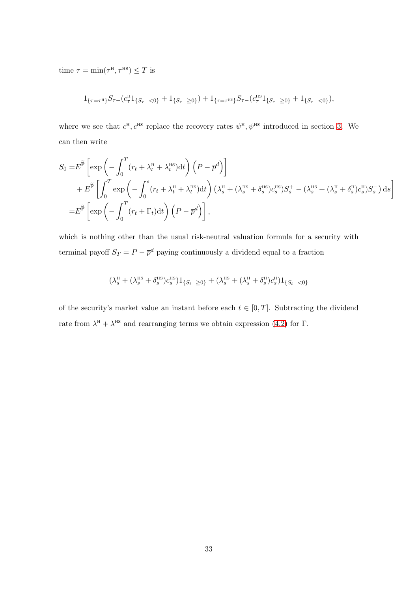time  $\tau = \min(\tau^{\text{H}}, \tau^{\text{HS}}) \leq T$  is

$$
1_{\{\tau=\tau^{\rm H}\}}S_{\tau-}(c_{\tau}^{\rm H}1_{\{S_{\tau-}<0\}}+1_{\{S_{\tau-}\geq 0\}})+1_{\{\tau=\tau^{\rm HS}\}}S_{\tau-}(c_{\tau}^{\rm HS}1_{\{S_{\tau-}\geq 0\}}+1_{\{S_{\tau-}<0\}}),
$$

where we see that  $c^{\text{H}}, c^{\text{HS}}$  replace the recovery rates  $\psi^{\text{H}}, \psi^{\text{HS}}$  introduced in section [3.](#page-14-0) We can then write

$$
S_0 = E^{\tilde{\mathbb{P}}}\left[\exp\left(-\int_0^T (r_t + \lambda_t^{\text{H}} + \lambda_t^{\text{HS}}) dt\right) \left(P - \overline{p}^d\right)\right]
$$
  
+ 
$$
E^{\tilde{\mathbb{P}}}\left[\int_0^T \exp\left(-\int_0^s (r_t + \lambda_t^{\text{H}} + \lambda_t^{\text{HS}}) dt\right) \left(\lambda_s^{\text{H}} + (\lambda_s^{\text{HS}} + \delta_s^{\text{HS}}) c_s^{\text{HS}}\right) S_s^+ - (\lambda_s^{\text{HS}} + (\lambda_s^{\text{H}} + \delta_s^{\text{H}}) c_s^{\text{H}}) S_s^- \right) ds\right]
$$
  
= 
$$
E^{\tilde{\mathbb{P}}}\left[\exp\left(-\int_0^T (r_t + \Gamma_t) dt\right) \left(P - \overline{p}^d\right)\right],
$$

which is nothing other than the usual risk-neutral valuation formula for a security with terminal payoff  $S_T = P - \bar{p}^d$  paying continuously a dividend equal to a fraction

$$
(\lambda_s^{\text{H}}+(\lambda_s^{\text{HS}}+\delta_s^{\text{HS}})c_s^{\text{HS}})\boldsymbol{1}_{\{S_{t-}\geq 0\}}+(\lambda_s^{\text{HS}}+(\lambda_s^{\text{H}}+\delta_s^{\text{H}})c_s^{\text{H}})\boldsymbol{1}_{\{S_{t-}<0\}}
$$

of the security's market value an instant before each  $t \in [0, T]$ . Subtracting the dividend rate from  $\lambda^{\text{H}} + \lambda^{\text{HS}}$  and rearranging terms we obtain expression [\(4.2\)](#page-18-1) for  $\Gamma$ .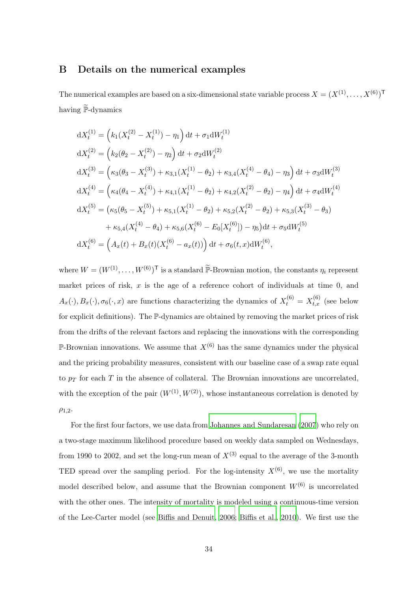#### <span id="page-35-0"></span>B Details on the numerical examples

The numerical examples are based on a six-dimensional state variable process  $X = (X^{(1)}, \ldots, X^{(6)})^{\mathsf{T}}$ having  $\widetilde{\mathbb{P}}$ -dynamics

$$
dX_t^{(1)} = (k_1(X_t^{(2)} - X_t^{(1)}) - \eta_1) dt + \sigma_1 dW_t^{(1)}
$$
  
\n
$$
dX_t^{(2)} = (k_2(\theta_2 - X_t^{(2)}) - \eta_2) dt + \sigma_2 dW_t^{(2)}
$$
  
\n
$$
dX_t^{(3)} = (\kappa_3(\theta_3 - X_t^{(3)}) + \kappa_{3,1}(X_t^{(1)} - \theta_2) + \kappa_{3,4}(X_t^{(4)} - \theta_4) - \eta_3) dt + \sigma_3 dW_t^{(3)}
$$
  
\n
$$
dX_t^{(4)} = (\kappa_4(\theta_4 - X_t^{(4)}) + \kappa_{4,1}(X_t^{(1)} - \theta_2) + \kappa_{4,2}(X_t^{(2)} - \theta_2) - \eta_4) dt + \sigma_4 dW_t^{(4)}
$$
  
\n
$$
dX_t^{(5)} = (\kappa_5(\theta_5 - X_t^{(5)}) + \kappa_{5,1}(X_t^{(1)} - \theta_2) + \kappa_{5,2}(X_t^{(2)} - \theta_2) + \kappa_{5,3}(X_t^{(3)} - \theta_3)
$$
  
\n
$$
+ \kappa_{5,4}(X_t^{(4)} - \theta_4) + \kappa_{5,6}(X_t^{(6)} - E_0[X_t^{(6)}]) - \eta_5) dt + \sigma_5 dW_t^{(5)}
$$
  
\n
$$
dX_t^{(6)} = (A_x(t) + B_x(t)(X_t^{(6)} - a_x(t))) dt + \sigma_6(t, x) dW_t^{(6)},
$$

where  $W = (W^{(1)}, \ldots, W^{(6)})^{\mathsf{T}}$  is a standard  $\widetilde{\mathbb{P}}$ -Brownian motion, the constants  $\eta_i$  represent market prices of risk,  $x$  is the age of a reference cohort of individuals at time 0, and  $A_x(\cdot), B_x(\cdot), \sigma_6(\cdot, x)$  are functions characterizing the dynamics of  $X_t^{(6)} = X_{t,x}^{(6)}$  (see below for explicit definitions). The P-dynamics are obtained by removing the market prices of risk from the drifts of the relevant factors and replacing the innovations with the corresponding **P-Brownian innovations.** We assume that  $X^{(6)}$  has the same dynamics under the physical and the pricing probability measures, consistent with our baseline case of a swap rate equal to  $p_T$  for each T in the absence of collateral. The Brownian innovations are uncorrelated, with the exception of the pair  $(W^{(1)}, W^{(2)})$ , whose instantaneous correlation is denoted by  $\rho_{1,2}$ .

For the first four factors, we use data from [Johannes and Sundaresan \(2007\)](#page-31-6) who rely on a two-stage maximum likelihood procedure based on weekly data sampled on Wednesdays, from 1990 to 2002, and set the long-run mean of  $X^{(3)}$  equal to the average of the 3-month TED spread over the sampling period. For the log-intensity  $X^{(6)}$ , we use the mortality model described below, and assume that the Brownian component  $W^{(6)}$  is uncorrelated with the other ones. The intensity of mortality is modeled using a continuous-time version of the Lee-Carter model (see [Biffis and Denuit, 2006](#page-29-10); [Biffis et al., 2010\)](#page-29-4). We first use the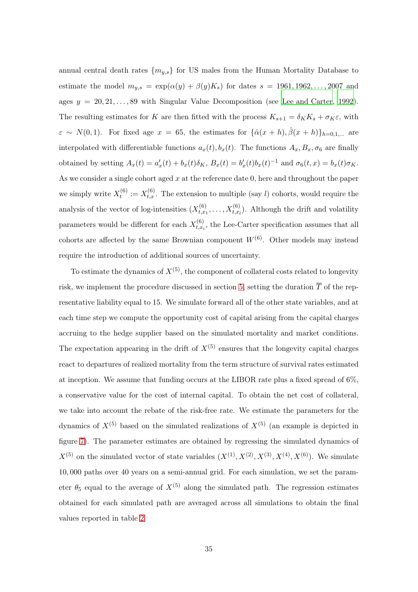annual central death rates  ${m_{y,s}}$  for US males from the Human Mortality Database to estimate the model  $m_{y,s} = \exp(\alpha(y) + \beta(y)K_s)$  for dates  $s = 1961, 1962, \ldots, 2007$  and ages  $y = 20, 21, \ldots, 89$  with Singular Value Decomposition (see [Lee and Carter](#page-31-10), [1992](#page-31-10)). The resulting estimates for K are then fitted with the process  $K_{s+1} = \delta_K K_s + \sigma_K \varepsilon$ , with  $\varepsilon \sim N(0, 1)$ . For fixed age  $x = 65$ , the estimates for  $\{\hat{\alpha}(x+h), \hat{\beta}(x+h)\}_{h=0,1,...}$  are interpolated with differentiable functions  $a_x(t)$ ,  $b_x(t)$ . The functions  $A_x$ ,  $B_x$ ,  $\sigma_6$  are finally obtained by setting  $A_x(t) = a'_x(t) + b_x(t)\delta_K$ ,  $B_x(t) = b'_x(t)b_x(t)^{-1}$  and  $\sigma_6(t, x) = b_x(t)\sigma_K$ . As we consider a single cohort aged  $x$  at the reference date 0, here and throughout the paper we simply write  $X_t^{(6)}$  $t_t^{(6)} := X_{t,x}^{(6)}$ . The extension to multiple (say *l*) cohorts, would require the analysis of the vector of log-intensities  $(X_{t,x}^{(6)})$  $t_{t,x_1}^{(6)}, \ldots, X_{t,x_l}^{(6)}$ . Although the drift and volatility parameters would be different for each  $X_{t,x}^{(6)}$  $t_{t,x_i}^{(0)}$ , the Lee-Carter specification assumes that all cohorts are affected by the same Brownian component  $W^{(6)}$ . Other models may instead require the introduction of additional sources of uncertainty.

To estimate the dynamics of  $X^{(5)}$ , the component of collateral costs related to longevity risk, we implement the procedure discussed in section [5,](#page-22-0) setting the duration  $\overline{T}$  of the representative liability equal to 15. We simulate forward all of the other state variables, and at each time step we compute the opportunity cost of capital arising from the capital charges accruing to the hedge supplier based on the simulated mortality and market conditions. The expectation appearing in the drift of  $X^{(5)}$  ensures that the longevity capital charges react to departures of realized mortality from the term structure of survival rates estimated at inception. We assume that funding occurs at the LIBOR rate plus a fixed spread of 6%, a conservative value for the cost of internal capital. To obtain the net cost of collateral, we take into account the rebate of the risk-free rate. We estimate the parameters for the dynamics of  $X^{(5)}$  based on the simulated realizations of  $X^{(5)}$  (an example is depicted in figure [7\)](#page-45-0). The parameter estimates are obtained by regressing the simulated dynamics of  $X^{(5)}$  on the simulated vector of state variables  $(X^{(1)}, X^{(2)}, X^{(3)}, X^{(4)}, X^{(6)})$ . We simulate 10, 000 paths over 40 years on a semi-annual grid. For each simulation, we set the parameter  $\theta_5$  equal to the average of  $X^{(5)}$  along the simulated path. The regression estimates obtained for each simulated path are averaged across all simulations to obtain the final values reported in table [2.](#page-38-0)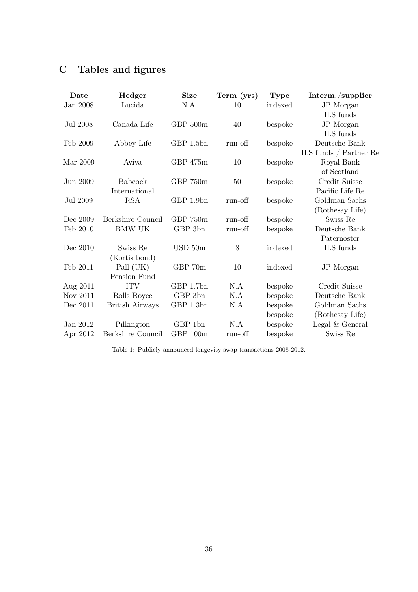<span id="page-37-0"></span>

| Date     | Hedger            | <b>Size</b>     | Term (yrs) | <b>Type</b> | Interm./supplier       |
|----------|-------------------|-----------------|------------|-------------|------------------------|
| Jan 2008 | Lucida            | N.A.            | 10         | indexed     | JP Morgan              |
|          |                   |                 |            |             | ILS funds              |
| Jul 2008 | Canada Life       | GBP 500m        | 40         | bespoke     | JP Morgan              |
|          |                   |                 |            |             | ILS funds              |
| Feb 2009 | Abbey Life        | GBP 1.5bn       | run-off    | bespoke     | Deutsche Bank          |
|          |                   |                 |            |             | ILS funds / Partner Re |
| Mar 2009 | Aviva             | GBP 475m        | 10         | bespoke     | Royal Bank             |
|          |                   |                 |            |             | of Scotland            |
| Jun 2009 | Babcock           | GBP 750m        | 50         | bespoke     | Credit Suisse          |
|          | International     |                 |            |             | Pacific Life Re        |
| Jul 2009 | <b>RSA</b>        | GBP 1.9bn       | run-off    | bespoke     | Goldman Sachs          |
|          |                   |                 |            |             | (Rothesay Life)        |
| Dec 2009 | Berkshire Council | GBP 750m        | run-off    | bespoke     | Swiss Re               |
| Feb 2010 | <b>BMW UK</b>     | GBP 3bn         | run-off    | bespoke     | Deutsche Bank          |
|          |                   |                 |            |             | Paternoster            |
| Dec 2010 | Swiss Re          | $USD\,50m$      | 8          | indexed     | ILS funds              |
|          | (Kortis bond)     |                 |            |             |                        |
| Feb 2011 | Pall (UK)         | GBP 70m         | 10         | indexed     | JP Morgan              |
|          | Pension Fund      |                 |            |             |                        |
| Aug 2011 | <b>ITV</b>        | GBP 1.7bn       | N.A.       | bespoke     | Credit Suisse          |
| Nov 2011 | Rolls Royce       | GBP 3bn         | N.A.       | bespoke     | Deutsche Bank          |
| Dec 2011 | British Airways   | GBP 1.3bn       | N.A.       | bespoke     | Goldman Sachs          |
|          |                   |                 |            | bespoke     | (Rothesay Life)        |
| Jan 2012 | Pilkington        | GBP 1bn         | N.A.       | bespoke     | Legal & General        |
| Apr 2012 | Berkshire Council | <b>GBP 100m</b> | run-off    | bespoke     | Swiss Re               |

## C Tables and figures

Table 1: Publicly announced longevity swap transactions 2008-2012.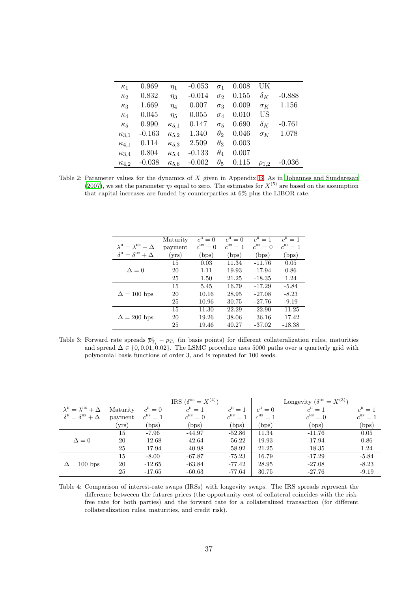<span id="page-38-0"></span>

| $\kappa_1$     | 0.969    | $\eta_1$       | $-0.053$ | $\sigma_1$ | 0.008 | UK           |          |
|----------------|----------|----------------|----------|------------|-------|--------------|----------|
| $\kappa_2$     | 0.832    | $\eta_3$       | $-0.014$ | $\sigma_2$ | 0.155 | $\delta_K$   | $-0.888$ |
| $\kappa_3$     | 1.669    | $\eta_4$       | 0.007    | $\sigma_3$ | 0.009 | $\sigma_K$   | 1.156    |
| $\kappa_4$     | 0.045    | $\eta_5$       | 0.055    | $\sigma_4$ | 0.010 | US           |          |
| $\kappa_5$     | 0.990    | $\kappa_{5.1}$ | 0.147    | $\sigma_5$ | 0.690 | $\delta_K$   | $-0.761$ |
| $\kappa_{3,1}$ | $-0.163$ | $\kappa_{5,2}$ | 1.340    | $\theta_2$ | 0.046 | $\sigma_K$   | 1.078    |
| $\kappa_{4,1}$ | 0.114    | $\kappa_{5,3}$ | 2.509    | $\theta_3$ | 0.003 |              |          |
| $\kappa_{3,4}$ | 0.804    | $\kappa_{5,4}$ | $-0.133$ | $\theta_4$ | 0.007 |              |          |
| $\kappa_{4,2}$ | $-0.038$ | $\kappa_{5,6}$ | $-0.002$ | $\theta_5$ | 0.115 | $\rho_{1,2}$ | $-0.036$ |

<span id="page-38-1"></span>Table 2: Parameter values for the dynamics of X given in Appendix [B.](#page-35-0) As in [Johannes and Sundaresan](#page-31-6) [\(2007](#page-31-6)), we set the parameter  $\eta_2$  equal to zero. The estimates for  $X^{(5)}$  are based on the assumption that capital increases are funded by counterparties at 6% plus the LIBOR rate.

|                                                                 | Maturity | $c^{\text{\tiny H}}=0$ | $c^{\text{\tiny H}}=0$ | $c^{\text{\tiny H}}=1$ | $c^{\rm H}=1$ |
|-----------------------------------------------------------------|----------|------------------------|------------------------|------------------------|---------------|
| $\lambda^{\text{\tiny H}} = \lambda^{\text{\tiny HS}} + \Delta$ | payment  | $c^{HS}=0$             | $c^{HS}=1$             | $c^{HS}=0$             | $c^{HS}=1$    |
| $\delta^{\textrm{\tiny{H}}}=\delta^{\textrm{\tiny{HS}}}+\Delta$ | (yrs)    | (bps)                  | (bps)                  | (bps)                  | (bps)         |
|                                                                 | 15       | 0.03                   | 11.34                  | $-11.76$               | 0.05          |
| $\Delta = 0$                                                    | 20       | 1.11                   | 19.93                  | $-17.94$               | 0.86          |
|                                                                 | 25       | 1.50                   | 21.25                  | $-18.35$               | 1.24          |
|                                                                 | 15       | 5.45                   | 16.79                  | $-17.29$               | $-5.84$       |
| $\Delta = 100$ bps                                              | 20       | 10.16                  | 28.95                  | $-27.08$               | $-8.23$       |
|                                                                 | 25       | 10.96                  | 30.75                  | $-27.76$               | $-9.19$       |
|                                                                 | 15       | 11.30                  | 22.29                  | $-22.90$               | $-11.25$      |
| $\Delta = 200$ bps                                              | 20       | 19.26                  | 38.06                  | $-36.16$               | $-17.42$      |
|                                                                 | 25       | 19.46                  | 40.27                  | $-37.02$               | $-18.38$      |

Table 3: Forward rate spreads  $\bar{p}_{T_i}^c - p_{T_i}$  (in basis points) for different collateralization rules, maturities and spread  $\Delta \in \{0, 0.01, 0.02\}$ . The LSMC procedure uses 5000 paths over a quarterly grid with polynomial basis functions of order 3, and is repeated for 100 seeds.

<span id="page-38-2"></span>

|                                                                 |          |                        | IRS $(\delta^{HS} = X^{(4)})$ |                   |                        | Longevity $(\delta^{\text{HS}} = \overline{X^{(3)}})$ |               |
|-----------------------------------------------------------------|----------|------------------------|-------------------------------|-------------------|------------------------|-------------------------------------------------------|---------------|
| $\lambda^{\text{\tiny H}} = \lambda^{\text{\tiny HS}} + \Delta$ | Maturity | $c^{\text{\tiny H}}=0$ | $c^{\rm H}=1$                 | $c^{\rm H}=1$     | $c^{\text{\tiny H}}=0$ | $c^{\text{\tiny H}}=1$                                | $c^{\rm H}=1$ |
| $\delta^{\textrm{\tiny{H}}}=\delta^{\textrm{\tiny{HS}}}+\Delta$ | payment  | $c^{HS}=1$             | $c^{\text{HS}}=0$             | $c^{\text{HS}}=1$ | $c^{HS}=1$             | $c^{_{\rm HS}}=0$                                     | $c^{HS}=1$    |
|                                                                 | (vrs)    | (bps)                  | (bps)                         | (bps)             | (bps)                  | (bps)                                                 | (bps)         |
|                                                                 | 15       | $-7.96$                | $-44.97$                      | $-52.86$          | 11.34                  | $-11.76$                                              | 0.05          |
| $\Delta = 0$                                                    | 20       | $-12.68$               | $-42.64$                      | $-56.22$          | 19.93                  | $-17.94$                                              | 0.86          |
|                                                                 | 25       | $-17.94$               | $-40.98$                      | $-58.92$          | 21.25                  | $-18.35$                                              | 1.24          |
|                                                                 | 15       | $-8.00$                | $-67.87$                      | $-75.23$          | 16.79                  | $-17.29$                                              | $-5.84$       |
| $\Delta = 100$ bps                                              | 20       | $-12.65$               | $-63.84$                      | $-77.42$          | 28.95                  | $-27.08$                                              | $-8.23$       |
|                                                                 | 25       | $-17.65$               | $-60.63$                      | -77.64            | 30.75                  | $-27.76$                                              | $-9.19$       |

Table 4: Comparison of interest-rate swaps (IRSs) with longevity swaps. The IRS spreads represent the difference betweeen the futures prices (the opportunity cost of collateral coincides with the riskfree rate for both parties) and the forward rate for a collateralized transaction (for different collateralization rules, maturities, and credit risk).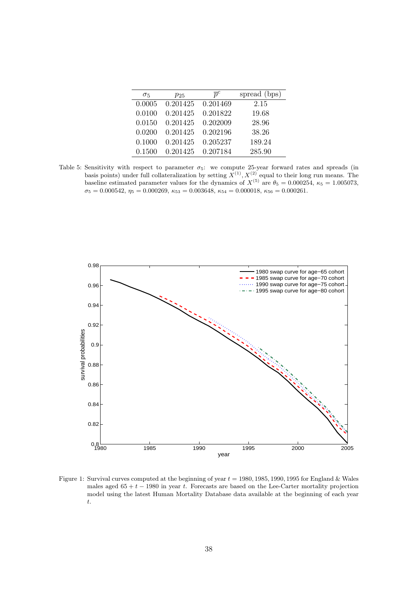<span id="page-39-1"></span>

| $\sigma_5$ | $p_{25}$ | $\overline{p}^c$ | spread (bps) |
|------------|----------|------------------|--------------|
| 0.0005     | 0.201425 | 0.201469         | 2.15         |
| 0.0100     | 0.201425 | 0.201822         | 19.68        |
| 0.0150     | 0.201425 | 0.202009         | 28.96        |
| 0.0200     | 0.201425 | 0.202196         | 38.26        |
| 0.1000     | 0.201425 | 0.205237         | 189.24       |
| 0.1500     | 0.201425 | 0.207184         | 285.90       |
|            |          |                  |              |

Table 5: Sensitivity with respect to parameter  $\sigma_5$ : we compute 25-year forward rates and spreads (in basis points) under full collateralization by setting  $X^{(1)}$ ,  $X^{(2)}$  equal to their long run means. The baseline estimated parameter values for the dynamics of  $X^{(5)}$  are  $\theta_5 = 0.000254$ ,  $\kappa_5 = 1.005073$ ,  $\sigma_5 = 0.000542, \eta_5 = 0.000269, \kappa_{53} = 0.003648, \kappa_{54} = 0.000018, \kappa_{56} = 0.000261.$ 

<span id="page-39-0"></span>

Figure 1: Survival curves computed at the beginning of year  $t = 1980, 1985, 1990, 1995$  for England & Wales males aged  $65 + t - 1980$  in year t. Forecasts are based on the Lee-Carter mortality projection model using the latest Human Mortality Database data available at the beginning of each year t.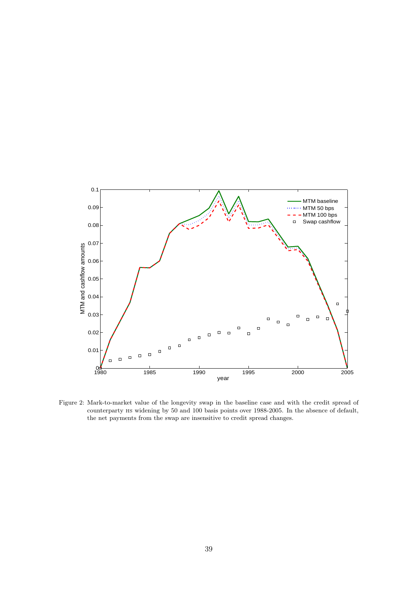<span id="page-40-0"></span>

Figure 2: Mark-to-market value of the longevity swap in the baseline case and with the credit spread of counterparty hs widening by 50 and 100 basis points over 1988-2005. In the absence of default, the net payments from the swap are insensitive to credit spread changes.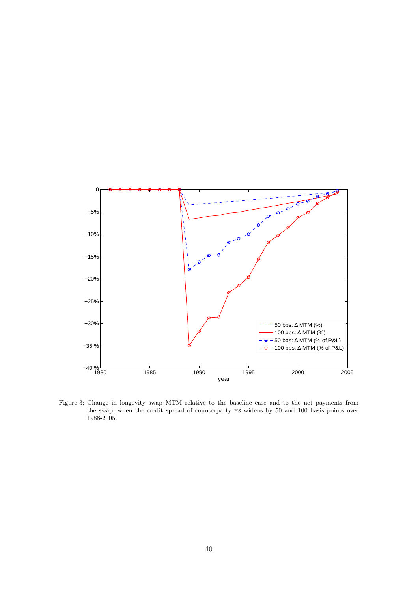<span id="page-41-0"></span>

Figure 3: Change in longevity swap MTM relative to the baseline case and to the net payments from the swap, when the credit spread of counterparty hs widens by 50 and 100 basis points over 1988-2005.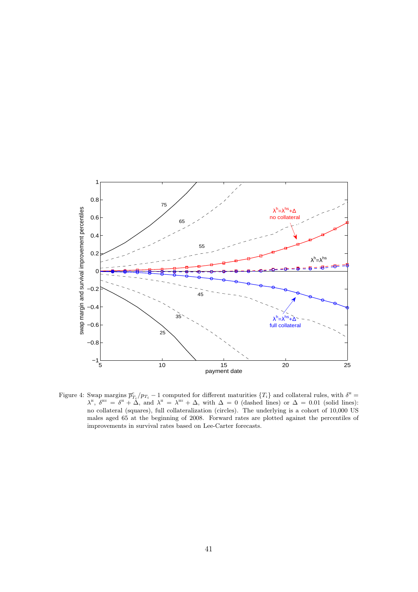<span id="page-42-0"></span>

Figure 4: Swap margins  $\bar{p}_{T_i}^c / p_{T_i} - 1$  computed for different maturities  $\{T_i\}$  and collateral rules, with  $\delta^{\text{H}} =$  $\lambda^{\text{H}}, \delta^{\text{HS}} = \delta^{\text{H}} + \Delta$ , and  $\lambda^{\text{H}} = \lambda^{\text{HS}} + \Delta$ , with  $\Delta = 0$  (dashed lines) or  $\Delta = 0.01$  (solid lines): no collateral (squares), full collateralization (circles). The underlying is a cohort of 10,000 US males aged 65 at the beginning of 2008. Forward rates are plotted against the percentiles of improvements in survival rates based on Lee-Carter forecasts.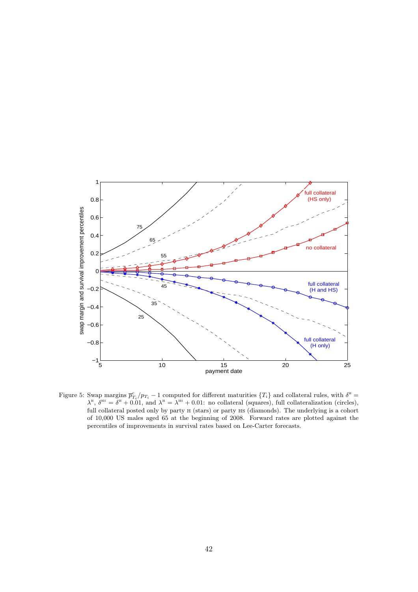<span id="page-43-0"></span>

Figure 5: Swap margins  $\bar{p}_{T_i}^c / p_{T_i} - 1$  computed for different maturities  $\{T_i\}$  and collateral rules, with  $\delta^{\text{H}} =$  $\lambda^{\text{\tiny{H}}}, \delta^{\text{\tiny{HS}}} = \delta^{\text{\tiny{H}}} + 0.01$ , and  $\lambda^{\text{\tiny{H}}} = \lambda^{\text{\tiny{HS}}} + 0.01$ : no collateral (squares), full collateralization (circles), full collateral posted only by party  $H$  (stars) or party  $H$ s (diamonds). The underlying is a cohort of 10,000 US males aged 65 at the beginning of 2008. Forward rates are plotted against the percentiles of improvements in survival rates based on Lee-Carter forecasts.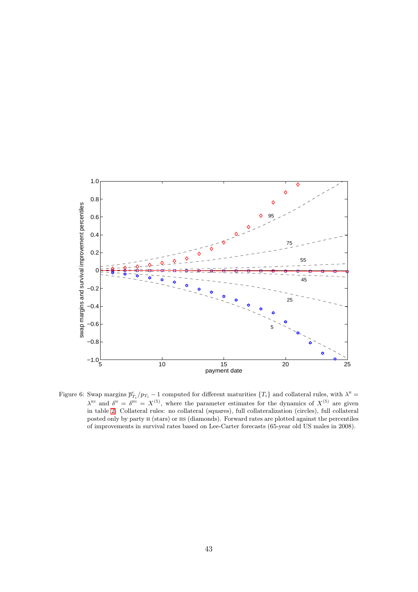<span id="page-44-0"></span>

Figure 6: Swap margins  $\bar{p}_{T_i}^c / p_{T_i} - 1$  computed for different maturities  $\{T_i\}$  and collateral rules, with  $\lambda^{\text{H}} =$  $\lambda^{\text{HS}}$  and  $\delta^{\text{H}} = \delta^{\text{HS}} = X^{(5)}$ , where the parameter estimates for the dynamics of  $X^{(5)}$  are given in table [2.](#page-38-0) Collateral rules: no collateral (squares), full collateralization (circles), full collateral posted only by party h (stars) or hs (diamonds). Forward rates are plotted against the percentiles of improvements in survival rates based on Lee-Carter forecasts (65-year old US males in 2008).